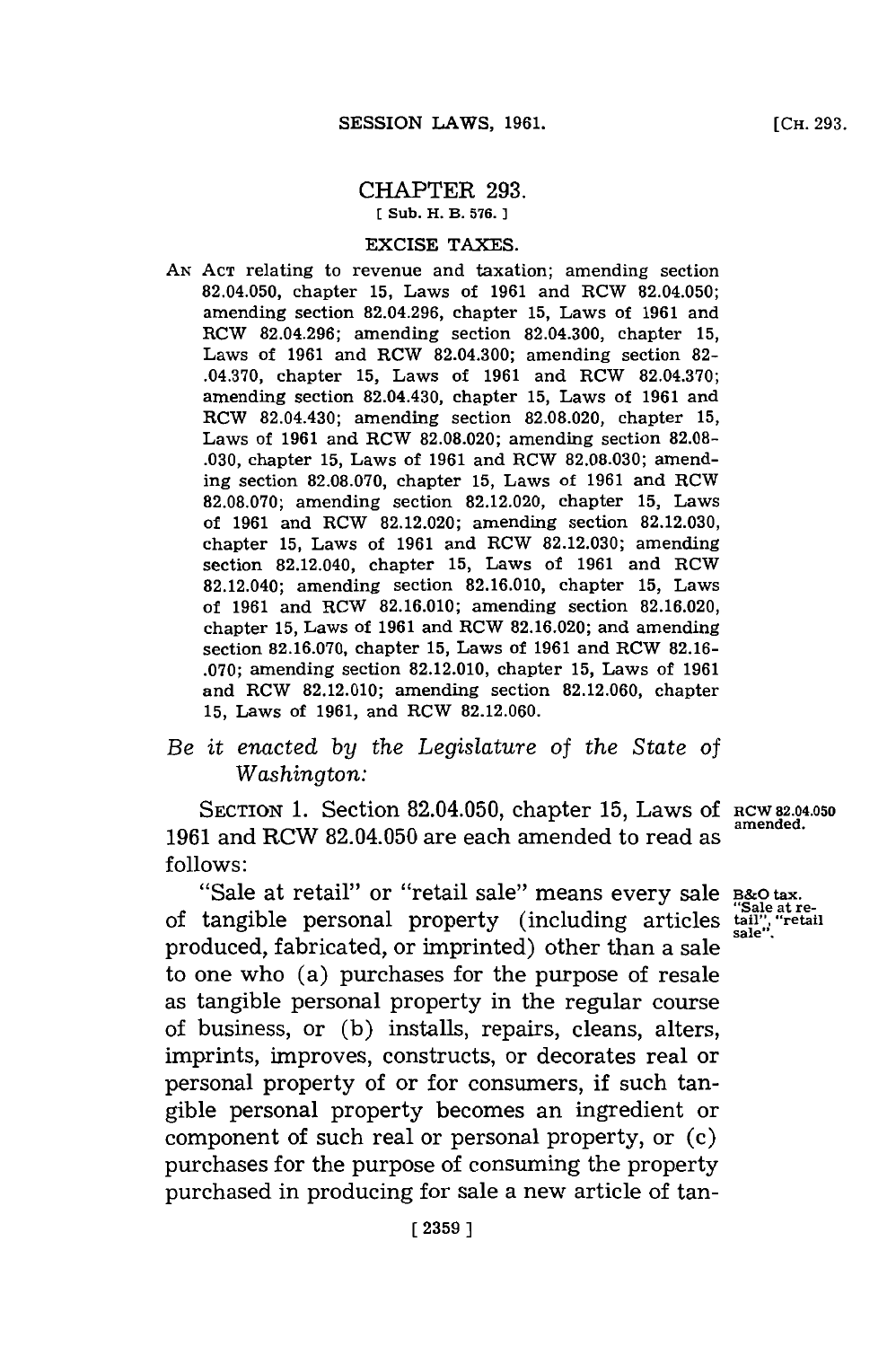## CHAPTER **293.**

**ESub. H. B. 576.)1**

## EXCISE **TAXES.**

**AN ACT** relating to revenue and taxation; amending section 82.04.050, chapter **15,** Laws of **1961** and RCW 82.04.050; amending section **82.04.296,** chapter **15,** Laws of **1961** and RCW **82.04.296;** amending section 82.04.300, chapter **15,** Laws of **1961** and RCW 82.04.300; amending section **82-** .04.370, chapter **15,** Laws of **1961** and RCW **82.04.370;** amending section 82.04.430, chapter **15,** Laws of **1961** and RCW 82.04.430; amending section **82.08.020,** chapter **15,** Laws of **1961** and RCW **82.08.020;** amending section **82.08- .030,** chapter **15,** Laws of **1961** and RCW **82.08.030;** amending section **82.08.070,** chapter **15,** Laws of **1961** and RCW **82.08.070;** amending section **82.12.020,** chapter **15,** Laws of **1961** and RCW **82.12.020;** amending section **82.12.030,** chapter **15,** Laws of **1961** and RCW **82.12.030;** amending section 82.12.040, chapter **15,** Laws of **1961** and RCW 82.12.040; amending section **82.16.010,** chapter **15,** Laws of **1961** and RCW **82.16.010;** amending section **82.16.020,** chapter **15,** Laws of **1961** and RCW **82.16.020;** and amending section **82.16.070,** chapter **15,** Laws of **1961** and RCW **82.16- .070;** amending section **82.12.010,** chapter **15,** Laws of **1961** and RCW **82.12.010;** amending section **82.12.060,** chapter **15,** Laws of **1961,** and RCW **82.12.060.**

## *Be it enacted by the Legislature of the State of Washington:*

SECTION 1. Section 82.04.050, chapter 15, Laws of RCW 82.04.050 **1961** and RCW 82.04.050 are each amended to read as **follows:**

"Sale at retail" or "retail sale" means every sale B&O tax. **"Sale at** re- of tangible personal property (including articles **tail",, "retail** produced, fabricated, or imprinted) other than a sale same of the slight of  $\frac{1}{2}$  and  $\frac{1}{2}$  and  $\frac{1}{2}$  and  $\frac{1}{2}$  and  $\frac{1}{2}$  and  $\frac{1}{2}$  and  $\frac{1}{2}$  and  $\frac{1}{2}$  and  $\frac{1}{2}$  and  $\frac{1}{2}$  and  $\frac{1$ to one who (a) purchases for the purpose of resale as tangible personal property in the regular course of business, or **(b)** installs, repairs, cleans, alters, imprints, improves, constructs, or decorates real or personal property of or for consumers, if such tangible personal property becomes an ingredient or component of such real or personal property, or (c) purchases **for** the purpose of consuming the property purchased in producing for sale a new article of tan-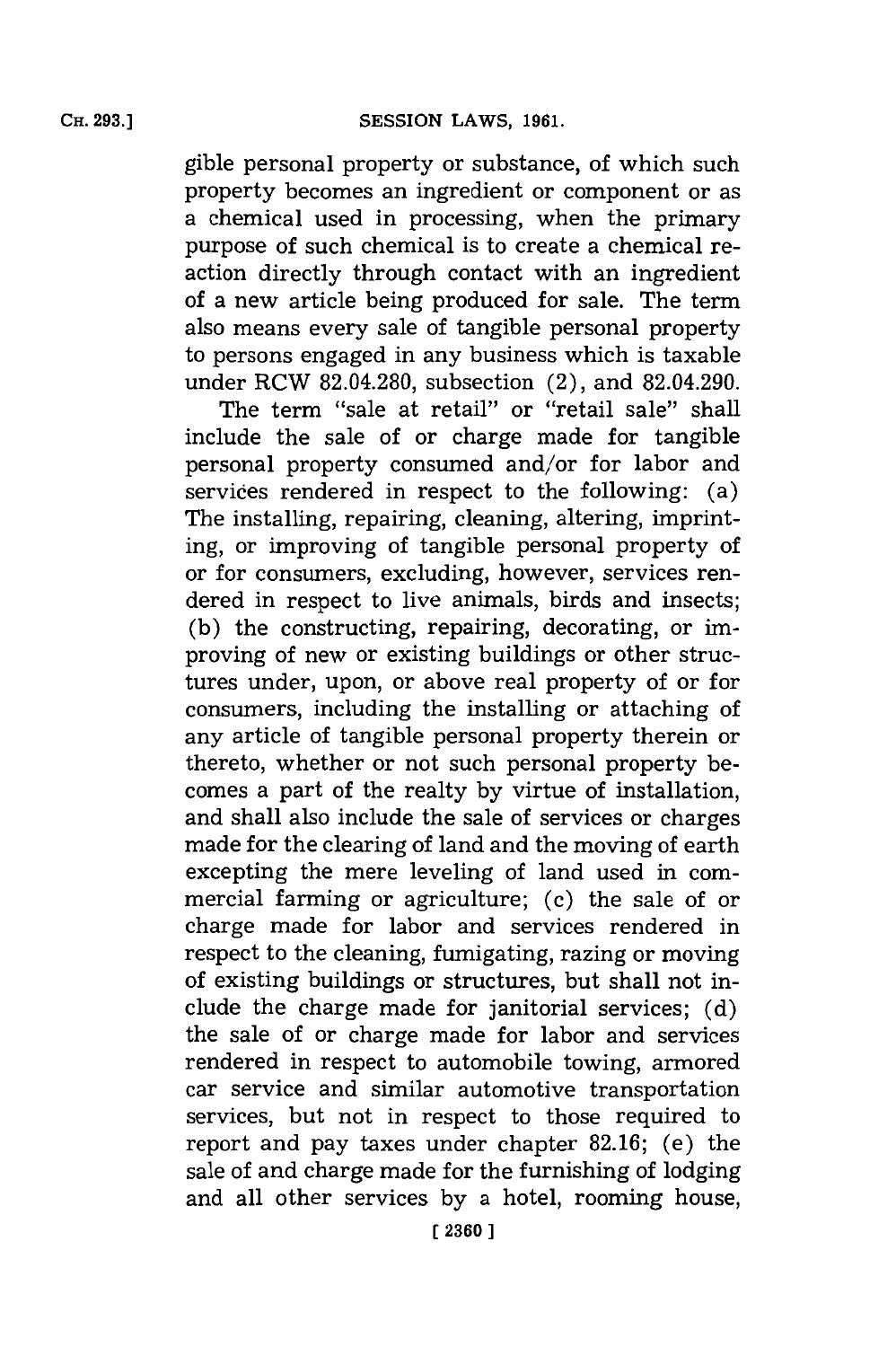gible personal property or substance, of which such property becomes an ingredient or component or as a chemical used in processing, when the primary purpose of such chemical is to create a chemical reaction directly through contact with an ingredient of a new article being produced for sale. The term also means every sale of tangible personal property to persons engaged in any business which is taxable under RCW **82.04.280,** subsection (2), and 82.04.290.

The term "sale at retail" or "retail sale" shall include the sale of or charge made for tangible personal property consumed and/or for labor and services rendered in respect to the following: (a) The installing, repairing, cleaning, altering, imprinting, or improving of tangible personal property of or for consumers, excluding, however, services rendered in respect to live animals, birds and insects; **(b)** the constructing, repairing, decorating, or improving of new or existing buildings or other structures under, upon, or above real property of or for consumers, including the installing or attaching of any article of tangible personal property therein or thereto, whether or not such personal property becomes a part of the realty **by** virtue of installation, and shall also include the sale of services or charges made for the clearing of land and the moving of earth excepting the mere leveling of land used in commercial farming or agriculture; **(c)** the sale of or charge made for labor and services rendered in respect to the cleaning, fumigating, razing or moving of existing buildings or structures, but shall not include the charge made for janitorial services; **(d)** the sale of or charge made for labor and services rendered in respect to automobile towing, armored car service and similar automotive transportation services, but not in respect to those required to report and pay taxes under chapter **82.16;** (e) the sale of and charge made for the furnishing of lodging and all other services **by** a hotel, rooming house,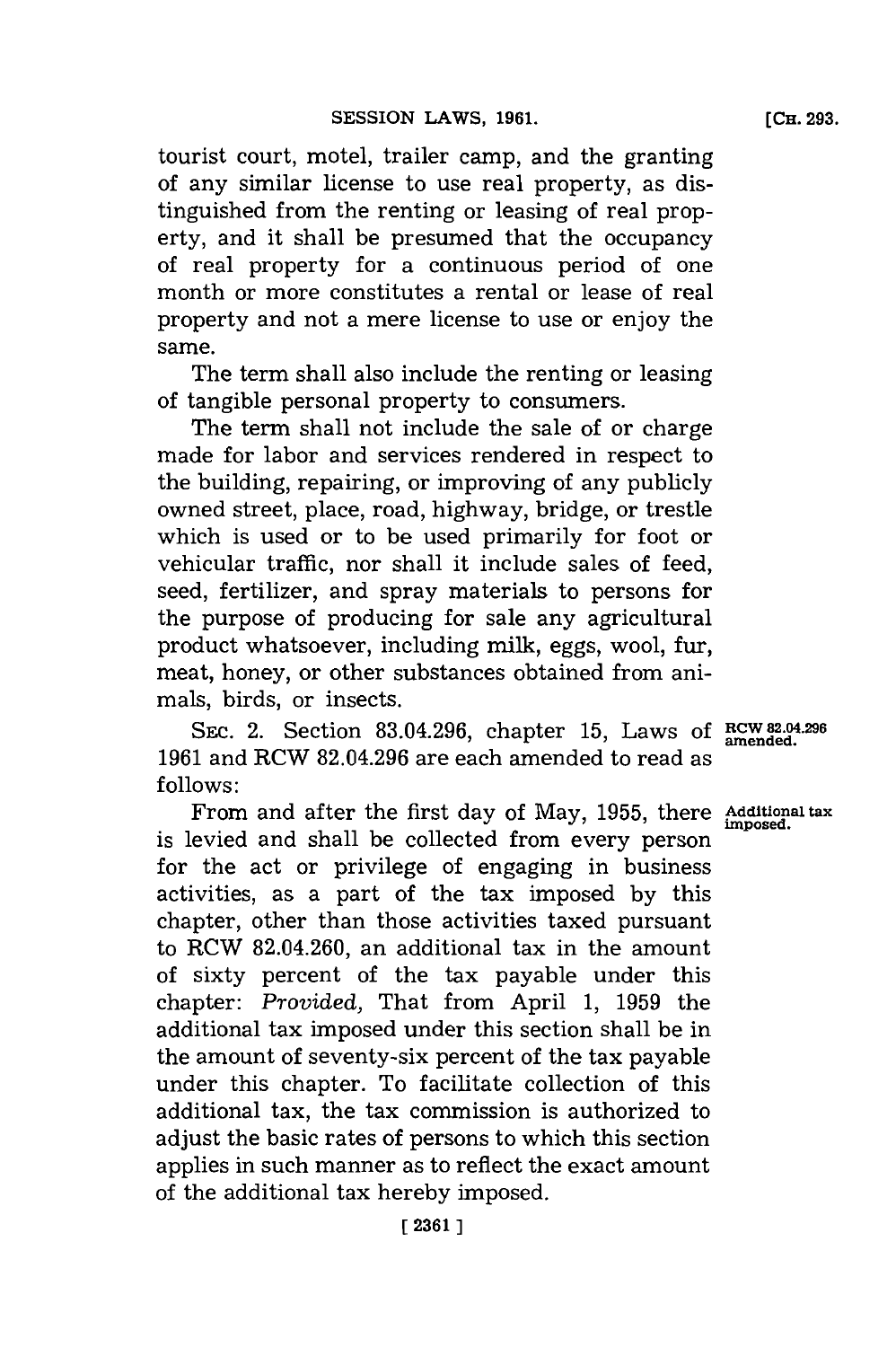tourist court, motel, trailer camp, and the granting of any similar license to use real property, as distinguished from the renting or leasing of real property, and it shall be presumed that the occupancy of real property for a continuous period of one month or more constitutes a rental or lease of real property and not a mere license to use or enjoy the same.

The term shall also include the renting or leasing of tangible personal property to consumers.

The term shall not include the sale of or charge made for labor and services rendered in respect to the building, repairing, or improving of any publicly owned street, place, road, highway, bridge, or trestle which is used or to be used primarily for foot or vehicular traffic, nor shall it include sales of feed, seed, fertilizer, and spray materials to persons for the purpose of producing for sale any agricultural product whatsoever, including milk, eggs, wool, fur, meat, honey, or other substances obtained from animals, birds, or insects.

SEC. 2. Section **83.04.296,** chapter **15,** Laws **of RCW82-04.296 1961** and RCW **82.04.296** are each amended to read as **follows:**

From and after the first day of May, 1955, there **Additional tax** is levied and shall be collected from every person for the act or privilege of engaging in business activities, as a part of the tax imposed **by** this chapter, other than those activities taxed pursuant to RCW 82.04.260, an additional tax in the amount of sixty percent of the tax payable under this chapter: *Provided,* That from April **1, 1959** the additional tax imposed under this section shall be in the amount of seventy-six percent of the tax payable under this chapter. To facilitate collection of this additional tax, the tax commission is authorized to adjust the basic rates of persons to which this section applies in such manner as to reflect the exact amount of the additional tax hereby imposed.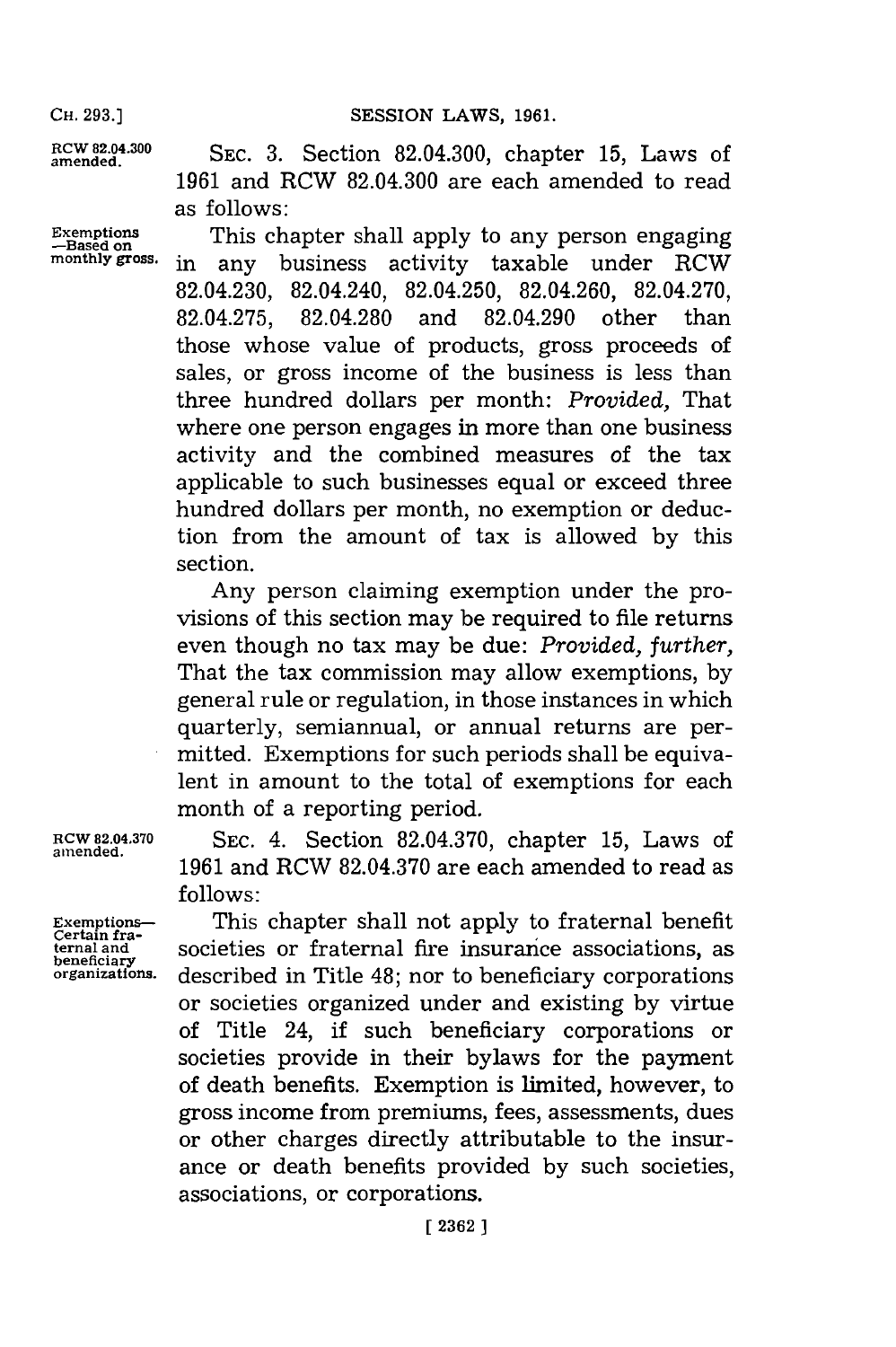CH. 293.] **CH. 293.] CH. 293.** 

**ROWnd8.4.0 SEC. 3.** Section 82.04.300, chapter **15,** Laws of **1961** and RCW 82.04.300 are each amended to read as follows:

Exemptions **This chapter shall apply to any person engaging**<br>
<sup>-Based on</sup> **monthly gross.** in any business activity taxable under RCW 82.04.230, 82.04.240, 82.04.250, 82.04.260, **82.04.270, 82.04.275, 82.04.280** and 82.04.290 other than those whose value of products, gross proceeds of sales, or gross income of the business is less than three hundred dollars per month: *Provided,* That where one person engages in more than one business activity and the combined measures of the tax applicable to such businesses equal or exceed three hundred dollars per month, no exemption or deduction from the amount of tax is allowed **by** this section.

> Any person claiming exemption under the provisions of this section may be required to file returns even though no tax may be due: *Provided, further,* That the tax commission may allow exemptions, **by** general rule or regulation, in those instances in which quarterly, semiannual, or annual returns are permitted. Exemptions for such periods shall be equivalent in amount to the total of exemptions for each month of a reporting period.

**ROW 82.04.370 SEC.** 4. Section **82.04.370,** chapter **15,** Laws of **1961** and RCW **82.04.370** are each amended to read as **follows:**

**beneficiary**<br>organizations.

**amended.**

**Exemptions~** This chapter shall not apply to fraternal benefit **ternal a~nd** societies or fraternal fire insurance associations, as described in Title 48; nor to beneficiary corporations or societies organized under and existing **by** virtue of Title 24, if such beneficiary corporations or societies provide in their bylaws for the payment of death benefits. Exemption is limited, however, to gross income from premiums, fees, assessments, dues or other charges directly attributable to the insurance or death benefits provided **by** such societies, associations, or corporations.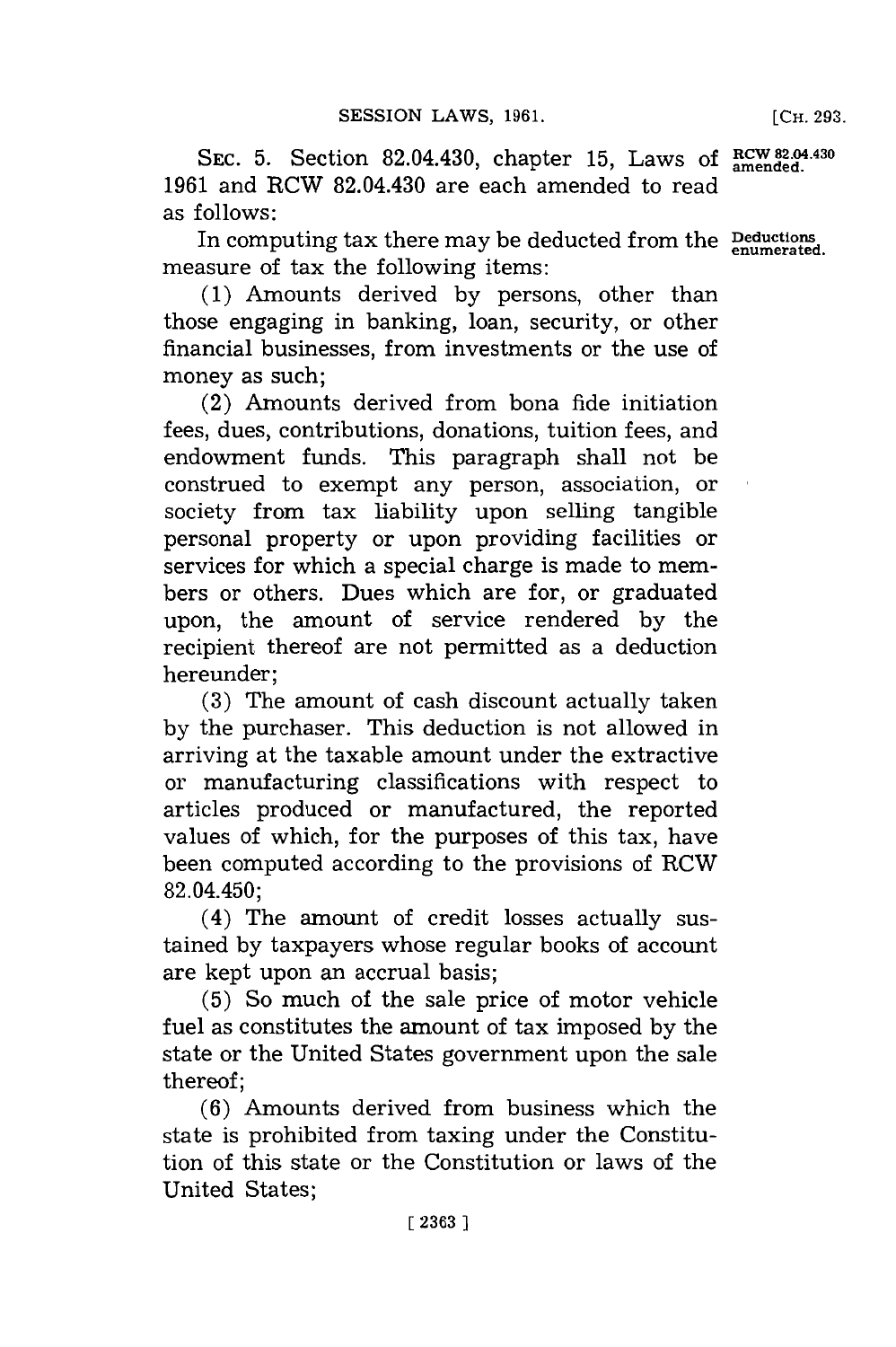SEC. 5. Section 82.04.430, chapter 15, Laws of RCW 82.04.430 **1961** and RCW 82.04.430 are each amended to read as follows:

In computing tax there may be deducted from the **Peductions** measure of tax the following items:

**(1)** Amounts derived **by** persons, other than those engaging in banking, loan, security, or other financial businesses, from investments or the use of money as such;

(2) Amounts derived from bona fide initiation fees, dues, contributions, donations, tuition fees, and endowment funds. This paragraph shall not be construed to exempt any person, association, or society from tax liability upon selling tangible personal property or upon providing facilities or services for which a special charge is made to members or others. Dues which are for, or graduated upon, the amount of service rendered **by** the recipient thereof are not permitted as a deduction hereunder;

**(3)** The amount of cash discount actually taken **by** the purchaser. This deduction is not allowed in arriving at the taxable amount under the extractive or manufacturing classifications with respect to articles produced or manufactured, the reported values of which, for the purposes of this tax, have been computed according to the provisions of RCW 82.04.450;

(4) The amount of credit losses actually sustained **by** taxpayers whose regular books of account are kept upon an accrual basis;

**(5)** So much of the sale price of motor vehicle fuel as constitutes the amount of tax imposed **by** the state or the United States govermnent upon the sale thereof;

**(6)** Amounts derived from business which the state is prohibited from taxing under the Constitution of this state or the Constitution or laws of the United States;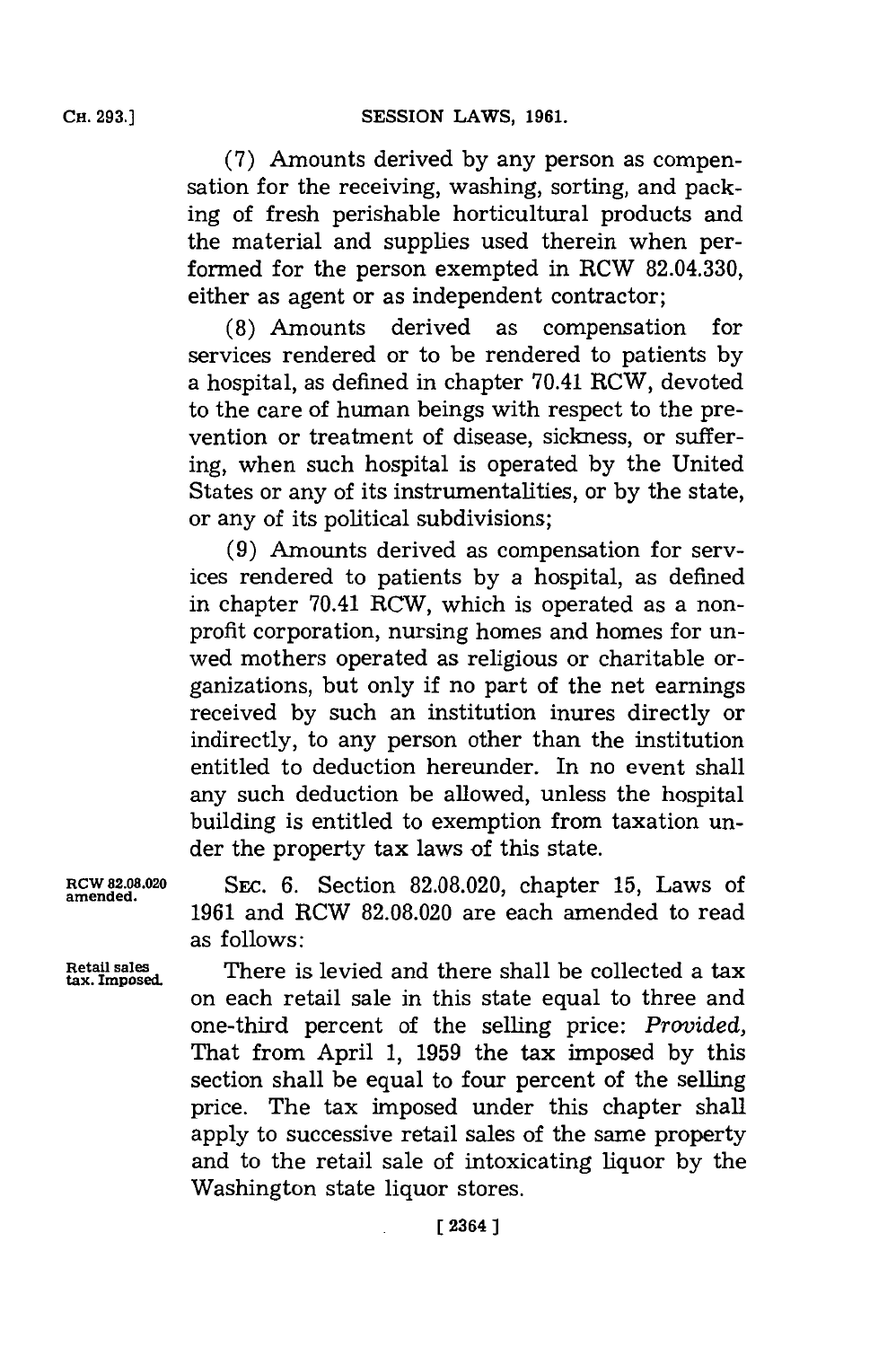**(7)** Amounts derived **by** any person as compensation for the receiving, washing, sorting, and packing of fresh perishable horticultural products and the material and supplies used therein when performed for the person exempted in RCW **82.04.330,** either as agent or as independent contractor;

**(8)** Amounts derived as compensation for services rendered or to be rendered to patients **by** a hospital, as defined in chapter 70.41 RCW, devoted to the care of human beings with respect to the prevention or treatment of disease, sickness, or suffering, when such hospital is operated **by** the United States or any of its instrumentalities, or **by** the state, or any of its political subdivisions;

**(9)** Amounts derived as compensation for services rendered to patients **by** a hospital, as defined in chapter 70.41 RCW, which is operated as a nonprofit corporation, nursing homes and homes for unwed mothers operated as religious or charitable organizations, but only if no part of the net earnings received **by** such an institution inures directly or indirectly, to any person other than the institution entitled to deduction hereunder. In no event shall any such deduction be allowed, unless the hospital building is entitled to exemption from taxation under the property tax laws of this state.

**amended.**

**RCW 82.08.020 SEC. 6.** Section **82.08.020,** chapter **15,** Laws of **1961** and RCW **82.08.020** are each amended to read as follows:

**tax. Imposed.**

**Retail sales** There is levied and there shall be collected a tax on each retail sale in this state equal to three and one-third percent of the selling price: *Provided,* That from April **1, 1959** the tax imposed **by** this section shall be equal to four percent of the selling price. The tax imposed under this chapter shall apply to successive retail sales of the same property and to the retail sale of intoxicating liquor **by** the Washington state liquor stores.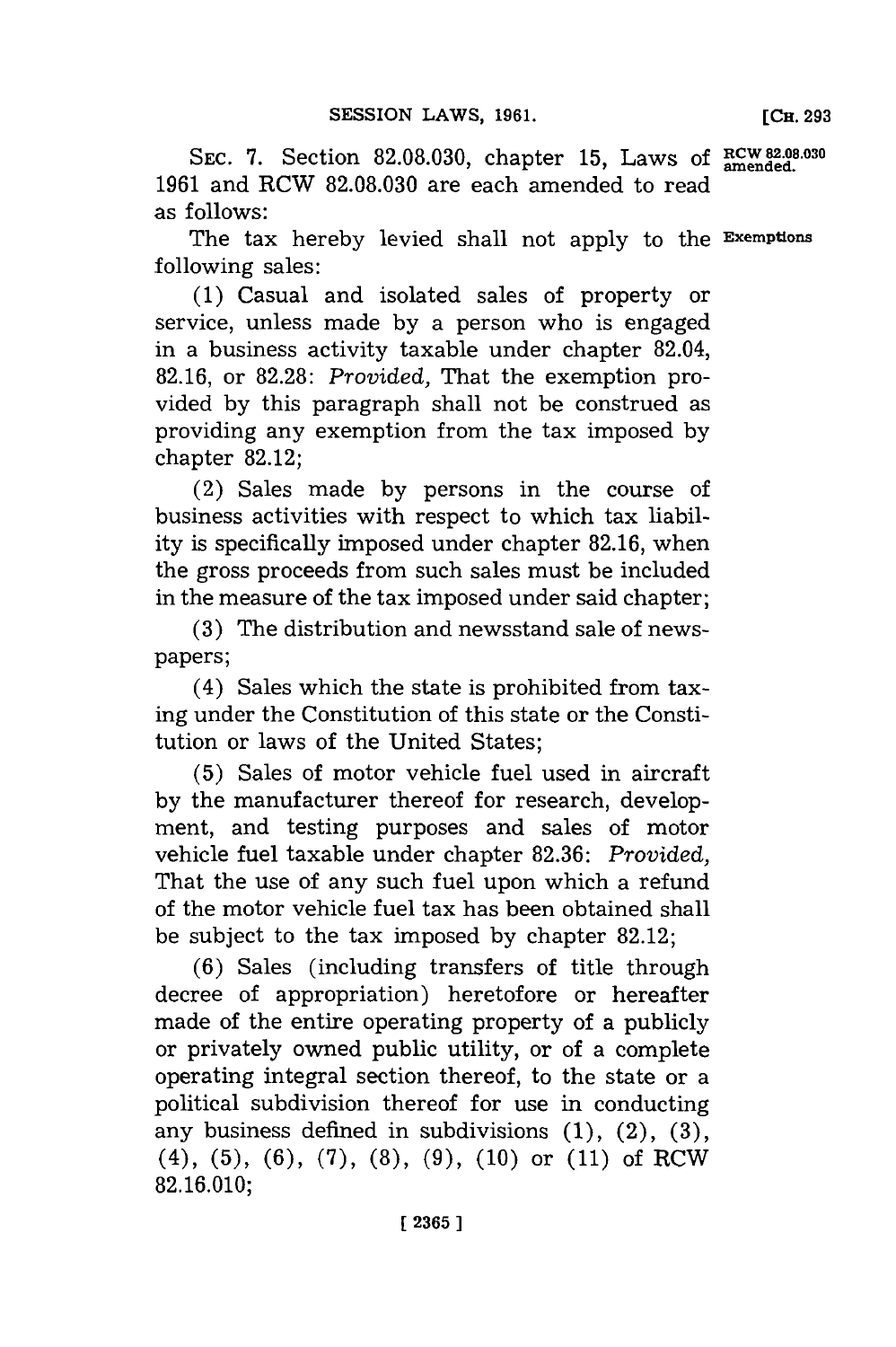SEC. 7. Section 82.08.030, chapter 15, Laws of **RCW 82.08.030 1961** and RCW **82.08.030** are each amended to read as follows:

The tax hereby levied shall not apply to the **Exemptions** following sales:

**(1)** Casual and isolated sales of property or service, unless made **by** a person who is engaged in a business activity taxable under chapter 82.04, **82.16,** or **82.28:** *Provided,* That the exemption provided **by** this paragraph shall not be construed as providing any exemption from the tax imposed **by** chapter **82.12;**

(2) Sales made **by** persons in the course of business activities with respect to which tax liability is specifically imposed under chapter **82.16,** when the gross proceeds from such sales must be included in the measure of the tax imposed under said chapter;

**(3)** The distribution and newsstand sale of newspapers;

(4) Sales which the state is prohibited from taxing under the Constitution of this state or the Constitution or laws of the United States;

**(5)** Sales of motor vehicle fuel used in aircraft by the manufacturer thereof for research, development, and testing purposes and sales of motor vehicle fuel taxable under chapter **82.36:** *Provided,* That the use of any such fuel upon which a refund of the motor vehicle fuel tax has been obtained shall be subject to the tax imposed **by** chapter **82.12;**

**(6)** Sales (including transfers of title through decree of appropriation) heretofore or hereafter made of the entire operating property of a publicly or privately owned public utility, or of a complete operating integral section thereof, to the state or a political subdivision thereof for use in conducting any business defined in subdivisions **(1),** (2), **(3),** (4), **(5), (6), (7), (8), (9), (10)** or **(11)** of RCW **82.16.010;**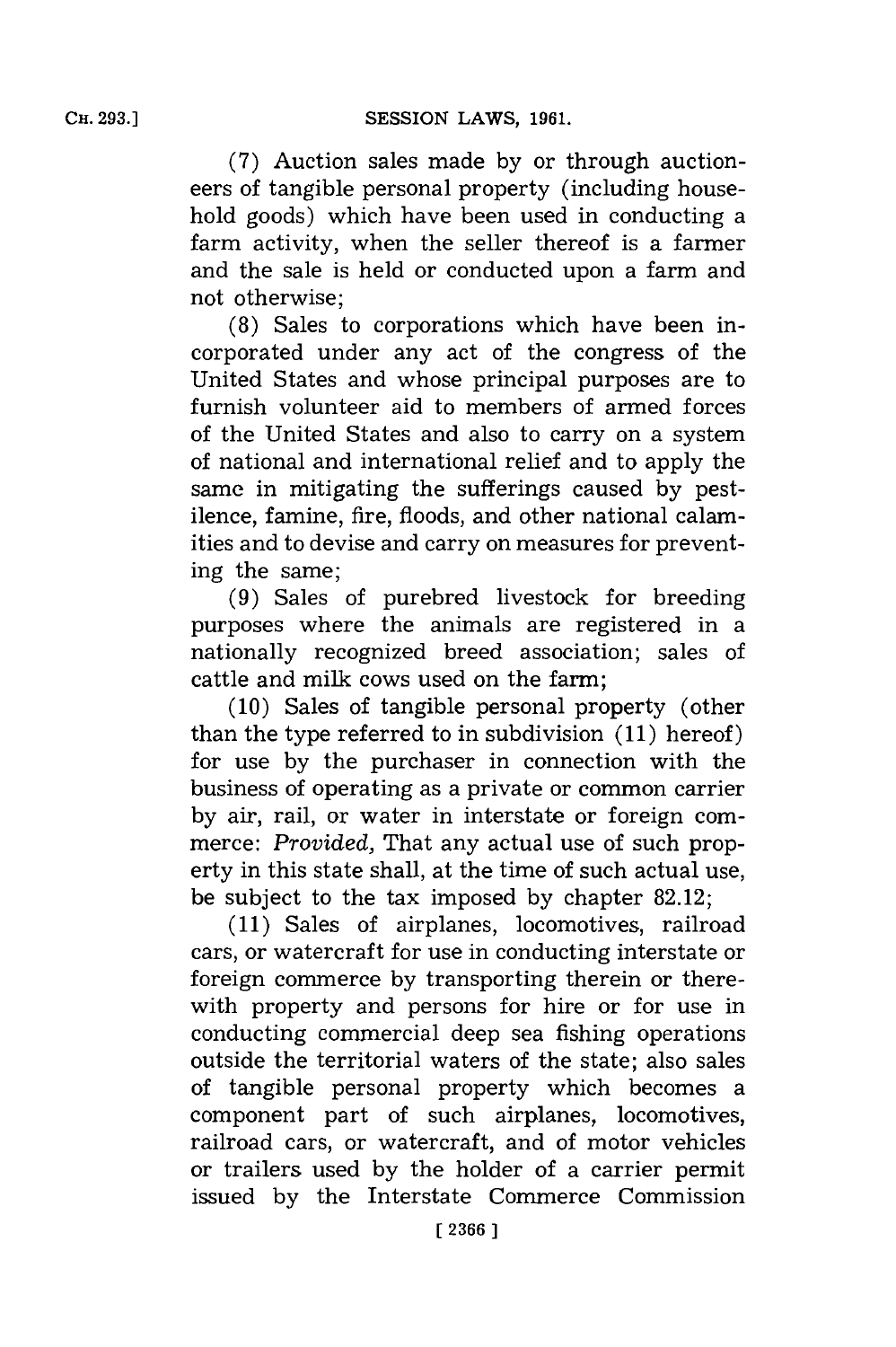**(7)** Auction sales made **by** or through auctioneers of tangible personal property (including household goods) which have been used in conducting a farm activity, when the seller thereof is a farmer and the sale is held or conducted upon a farm and not otherwise;

**(8)** Sales to corporations which have been incorporated under any act of the congress of the United States and whose principal purposes are to furnish volunteer aid to members of armed forces of the United States and also to carry on a system of national and international relief and to apply the same in mitigating the sufferings caused **by** pestilence, famine, fire, floods, and other national calamities and to devise and carry on measures for preventing the same;

**(9)** Sales of purebred livestock for breeding purposes where the animals are registered in a nationally recognized breed association; sales of cattle and milk cows used on the farm;

**(10)** Sales of tangible personal property (other than the type referred to in subdivision **(11)** hereof) for use **by** the purchaser in connection with the business of operating as a private or common carrier **by** air, rail, or water in interstate or foreign commerce: *Provided,* That any actual use of such property in this state shall, at the time of such actual use, be subject to the tax imposed **by** chapter **82.12;**

**(11)** Sales of airplanes, locomotives, railroad cars, or watercraft for use in conducting interstate or foreign commerce **by** transporting therein or therewith property and persons for hire or for use in conducting commercial deep sea fishing operations outside the territorial waters of the state; also sales of tangible personal property which becomes a component part of such airplanes, locomotives, railroad cars, or watercraft, and of motor vehicles or trailers used **by** the holder of a carrier permit issued **by** the Interstate Commerce Commission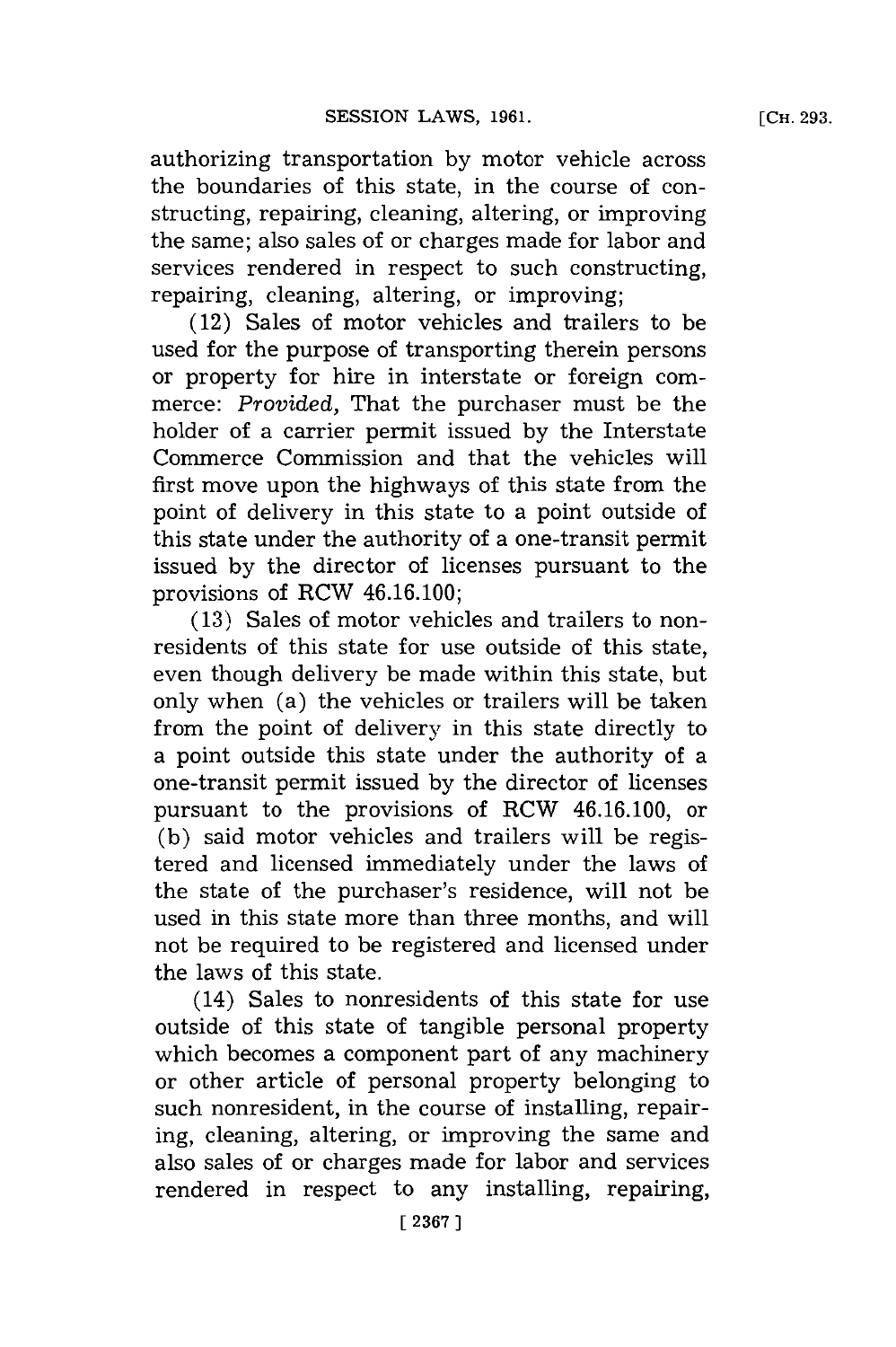authorizing transportation **by** motor vehicle across the boundaries of this state, in the course of constructing, repairing, cleaning, altering, or improving

the same; also sales of or charges made **for** labor and services rendered in respect to such constructing, repairing, cleaning, altering, or improving;

(12) Sales of motor vehicles and trailers to be used for the purpose of transporting therein persons or property for hire in interstate or foreign commerce: *Provided,* That the purchaser must be the holder of a carrier permit issued **by** the Interstate Commerce Commission and that the vehicles will first move upon the highways of this state from the point of delivery in this state to a point outside of this state under the authority of a one-transit permit issued **by** the director of licenses pursuant to the provisions of RCW 46.16.100;

**(13)** Sales of motor vehicles and trailers to nonresidents of this state for use outside of this state, even though delivery be made within this state, but only when (a) the vehicles or trailers will be taken from the point of delivery in this state directly to a point outside this state under the authority of a one-transit permit issued **by** the director of licenses pursuant to the provisions of RCW 46.16.100, or **(b)** said motor vehicles and trailers will be registered and licensed immediately under the laws of the state of the purchaser's residence, will not be used in this state more than three months, and will not be required to be registered and licensed under the laws of this state.

(14) Sales to nonresidents of this state for use outside of this state of tangible personal property which becomes a component part of any machinery or other article of personal property belonging to such nonresident, in the course of installing, repairing, cleaning, altering, or improving the same and also sales of or charges made for labor and services rendered in respect to any installing, repairing,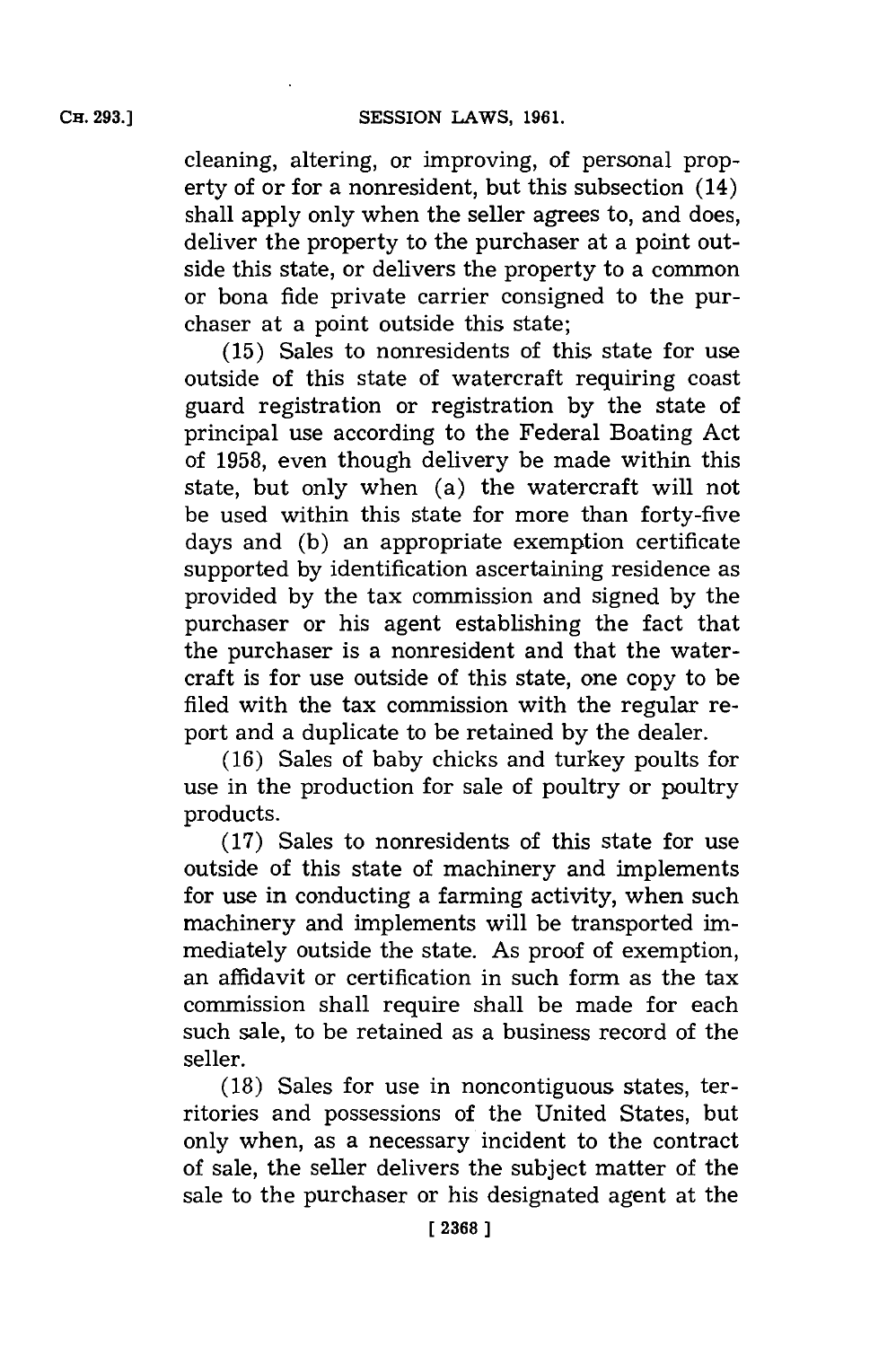cleaning, altering, or improving, of personal property of or for a nonresident, but this subsection (14) shall apply only when the seller agrees to, and does, deliver the property to the purchaser at a point outside this state, or delivers the property to a common or bona fide private carrier consigned to the purchaser at a point outside this state;

**(15)** Sales to nonresidents of this state for use outside of this state of watercraft requiring coast guard registration or registration **by** the state of principal use according to the Federal Boating Act of **1958,** even though delivery be made within this state, but only when (a) the watercraft will not be used within this state for more than forty-five days and **(b)** an appropriate exemption certificate supported **by** identification ascertaining residence as provided **by** the tax commission and signed **by** the purchaser or his agent establishing the fact that the purchaser is a nonresident and that the watercraft is for use outside of this state, one copy to be filed with the tax commission with the regular report and a duplicate to be retained **by** the dealer.

**(16)** Sales of baby chicks and turkey poults for use in the production for sale of poultry or poultry products.

**(17)** Sales to nonresidents of this state for use outside of this state of machinery and implements for use in conducting a farming activity, when such machinery and implements will be transported immediately outside the state. As proof of exemption, an affidavit or certification in such form as the tax commission shall require shall be made for each such sale, to be retained as a business record of the seller.

**(18)** Sales for use in noncontiguous states, territories and possessions of the United States, but only when, as a necessary incident to the contract of sale, the seller delivers the subject matter of the sale to the purchaser or his designated agent at the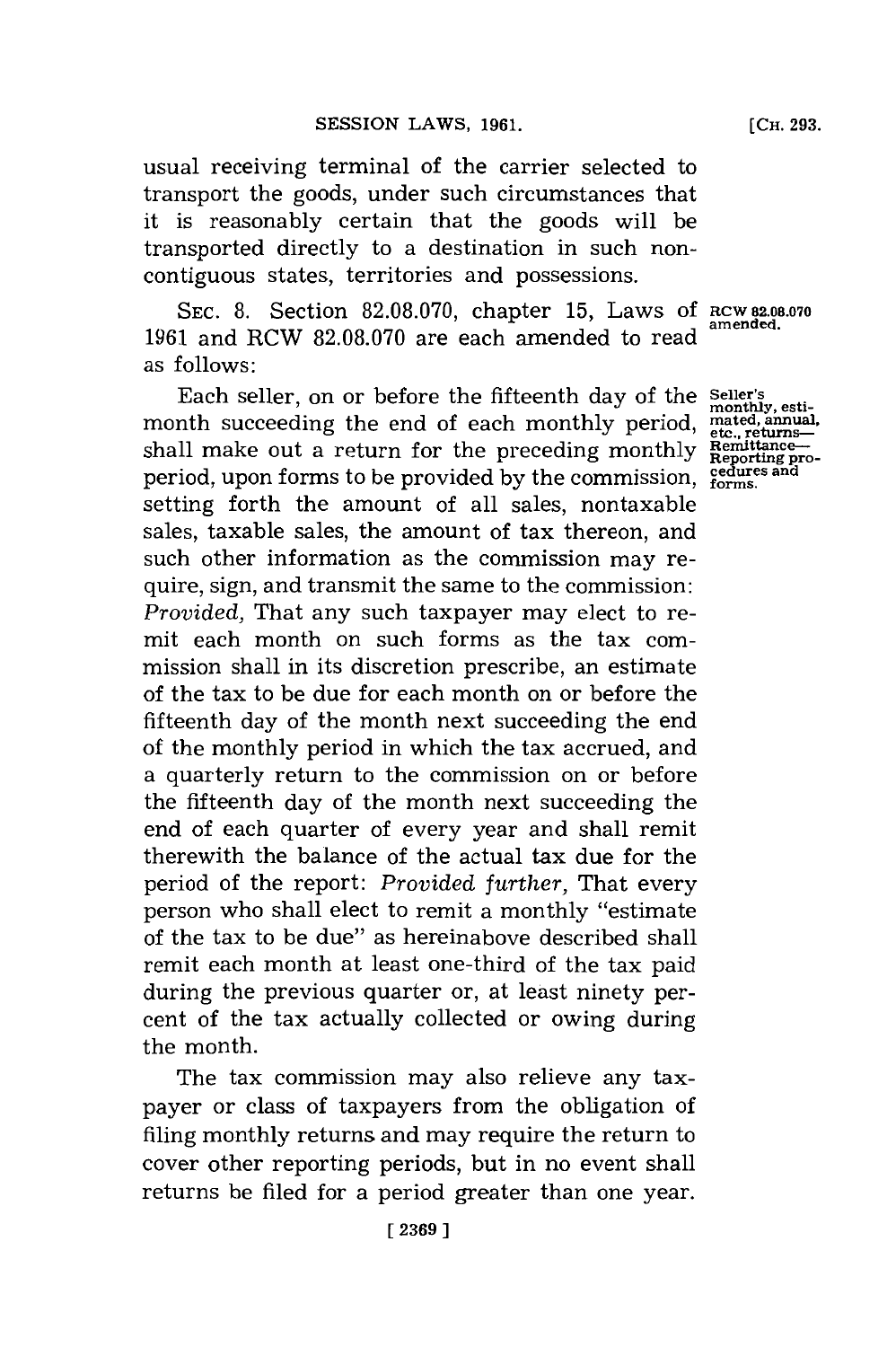usual receiving terminal of the carrier selected to transport the goods, under such circumstances that it is reasonably certain that the goods will be transported directly to a destination in such noncontiguous states, territories and possessions.

**SEC. 8.** Section **82.08.070,** chapter **15,** Laws **Of RCW 82.08.070** 1961 and RCW 82.08.070 are each amended to read as follows:

Each seller, on or before the fifteenth day of the Seller's<br>month succeeding the end of each monthly period,  $\frac{\text{metal}}{\text{etc}, \text{return}}$ <br>shall make out a return for the preceding monthly  $\frac{\text{Bemittance}}{\text{Permitance}}$ period, upon forms to be provided by the commission, **redures** and setting forth the amount of all sales, nontaxable sales, taxable sales, the amount of tax thereon, and such other information as the commission may require, sign, and transmit the same to the commission: *Provided,* That any such taxpayer may elect to remit each month on such forms as the tax commission shall in its discretion prescribe, an estimate of the tax to be due for each month on or before the fifteenth day of the month next succeeding the end of the monthly period in which the tax accrued, and a quarterly return to the commission on or before the fifteenth day of the month next succeeding the end of each quarter of every year and shall remit therewith the balance of the actual tax due for the period of the report: *Provided further,* That every person who shall elect to remit a monthly "estimate of the tax to be due" as hereinabove described shall remit each month at least one-third of the tax paid during the previous quarter or, at least ninety percent of the tax actually collected or owing during the month.

The tax commission may also relieve any taxpayer or class of taxpayers from the obligation of filing monthly returns and may require the return to cover other reporting periods, but in no event shall returns be filed for a period greater than one year.

**[ 2369]1**

**[CH. 293.**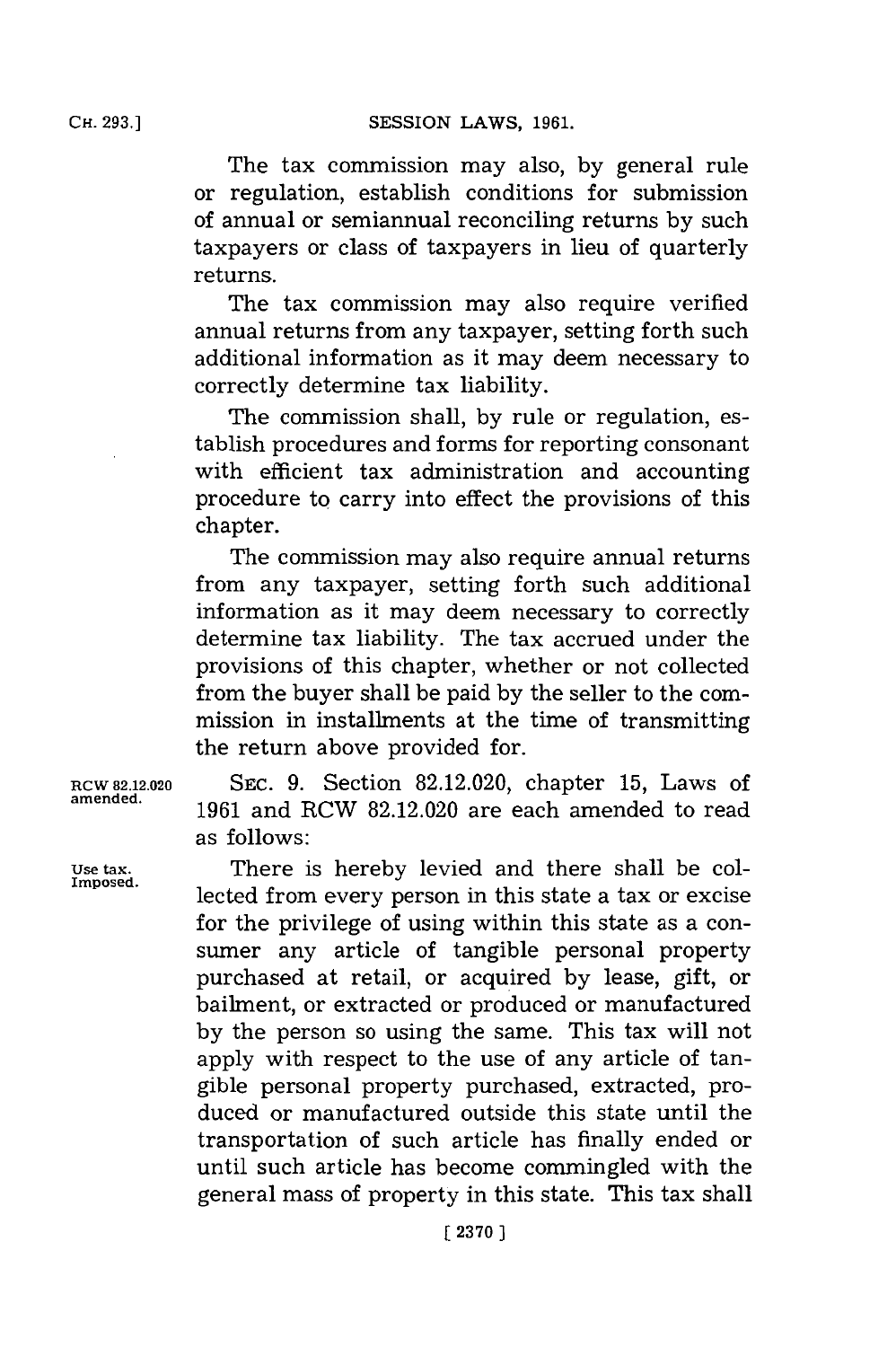**CH. 293.]**

The tax commission may also, **by** general rule or regulation, establish conditions for submission of annual or semiannual reconciling returns **by** such taxpayers or class of taxpayers in lieu of quarterly returns.

The tax commission may also require verified annual returns from any taxpayer, setting forth such additional information as it may deem necessary to correctly determine tax liability.

The commission shall, **by** rule or regulation, establish procedures and forms for reporting consonant with efficient tax administration and accounting procedure to carry into effect the provisions of this chapter.

The commission may also require annual returns from any taxpayer, setting forth such additional information as it may deem necessary to correctly determine tax liability. The tax accrued under the provisions of this chapter, whether or not collected from the buyer shall be paid **by** the seller to the commission in installments at the time of transmitting the return above provided for.

**RCW 82.12.020 SEc. 9.** Section **82.12.020,** chapter **15,** Laws of **amended. 1961** and RCW **82.12.020** are each amended to read as follows:

Use tax. **There** is hereby levied and there shall be collected from every person in this state a tax or excise for the privilege of using within this state as a consumer any article of tangible personal property purchased at retail, or acquired **by** lease, gift, or bailment, or extracted or produced or manufactured **by** the person so using the same. This tax will not apply with respect to the use of any article of tangible personal property purchased, extracted, produced or manufactured outside this state until the transportation of such article has finally ended or until such article has become commingled with the general mass of property in this state. This tax shall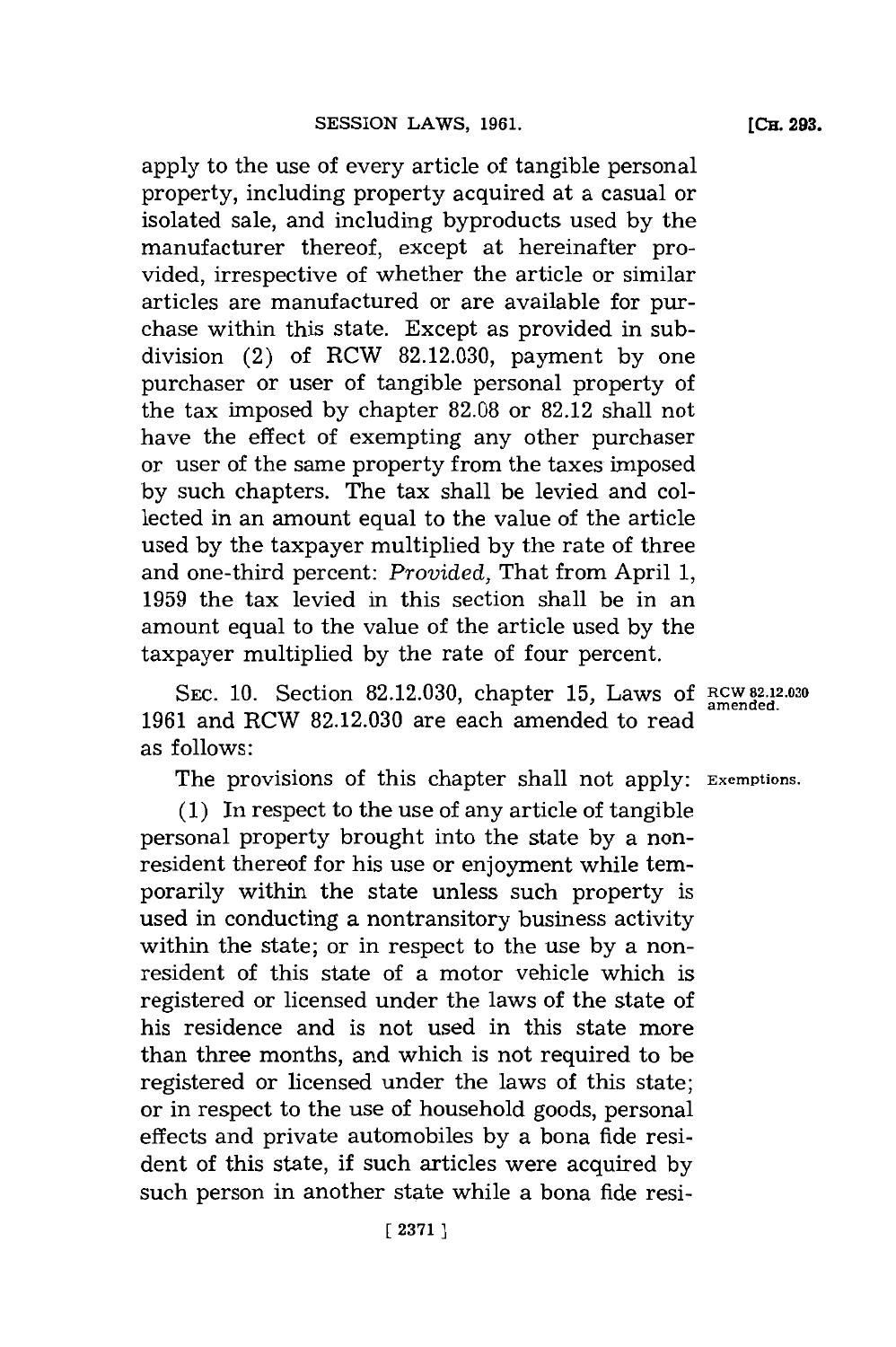apply to the use of every article of tangible personal property, including property acquired at a casual or isolated sale, and including byproducts used **by** the manufacturer thereof, except at hereinafter provided, irrespective of whether the article or similar articles are manufactured or are available for purchase within this state. Except as provided in subdivision (2) of RCW **82.12.030,** payment **by** one purchaser or user of tangible personal property of the tax imposed **by** chapter **82.08** or **82.12** shall not have the effect of exempting any other purchaser or user of the same property from the taxes imposed **by** such chapters. The tax shall be levied and collected in an amount equal to the value of the article used **by** the taxpayer multiplied **by** the rate of three and one-third percent: *Provided,* That from April **1, 1959** the tax levied in this section shall be in an amount equal to the value of the article used **by** the taxpayer multiplied **by** the rate of four percent.

SEC. 10. Section 82.12.030, chapter 15, Laws of RCW 82.12.030 **1961** and RCW **82.12.030** are each amended to read as follows:

The provisions of this chapter shall not apply: **Exemptions.**

**(1)** In respect to the use of any article of tangible personal property brought into the state **by** a nonresident thereof for his use or enjoyment while temporarily within the state unless such property is used in conducting a nontransitory business activity within the state; or in respect to the use **by** a nonresident of this state of a motor vehicle which is registered or licensed under the laws of the state of his residence and is not used in this state more than three months, and which is not required to be registered or licensed under the laws of this state; or in respect to the use of household goods, personal effects and private automobiles **by** a bona fide resident of this state, if such articles were acquired **by** such person in another state while a bona fide resi**(CH. 293.**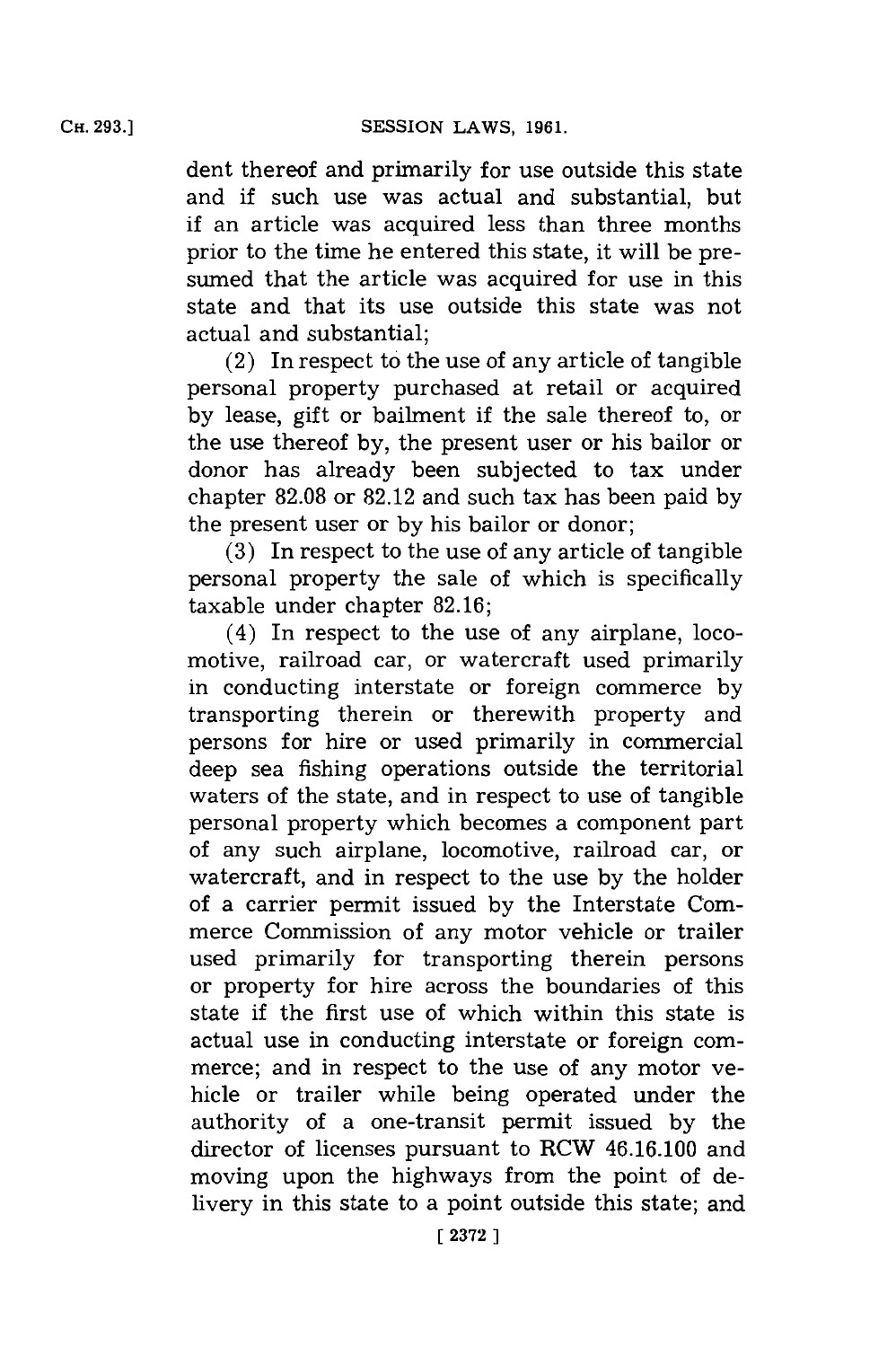dent thereof and primarily for use outside this state and if such use was actual and substantial, but if an article was acquired less than three months prior to the time he entered this state, it will be presumed that the article was acquired for use in this state and that its use outside this state was not actual and substantial;

(2) In respect to the use of any article of tangible personal property purchased at retail or acquired by lease, gift or bailment if the sale thereof to, or the use thereof **by,** the present user or his bailor or donor has already been subjected to tax under chapter **82.08** or **82.12** and such tax has been paid **by** the present user or **by** his bailor or donor;

**(3)** In respect to the use of any article of tangible personal property the sale of which is specifically taxable under chapter **82.16;**

(4) In respect to the use of any airplane, locomotive, railroad car, or watercraft used primarily in conducting interstate or foreign commerce **by** transporting therein or therewith property and persons for hire or used primarily in commercial deep sea fishing operations outside the territorial waters of the state, and in respect to use of tangible personal property which becomes a component part of any such airplane, locomotive, railroad car, or watercraft, and in respect to the use **by** the holder of a carrier permit issued **by** the Interstate Commerce Commission of any motor vehicle or trailer used primarily for transporting therein persons or property for hire across the boundaries of this state if the first use of which within this state is actual use in conducting interstate or foreign commerce; and in respect to the use of any motor vehicle or trailer while being operated under the authority of a one-transit permit issued **by** the director of licenses pursuant to RCW 46.16.100 and moving upon the highways from the point of delivery in this state to a point outside this state; and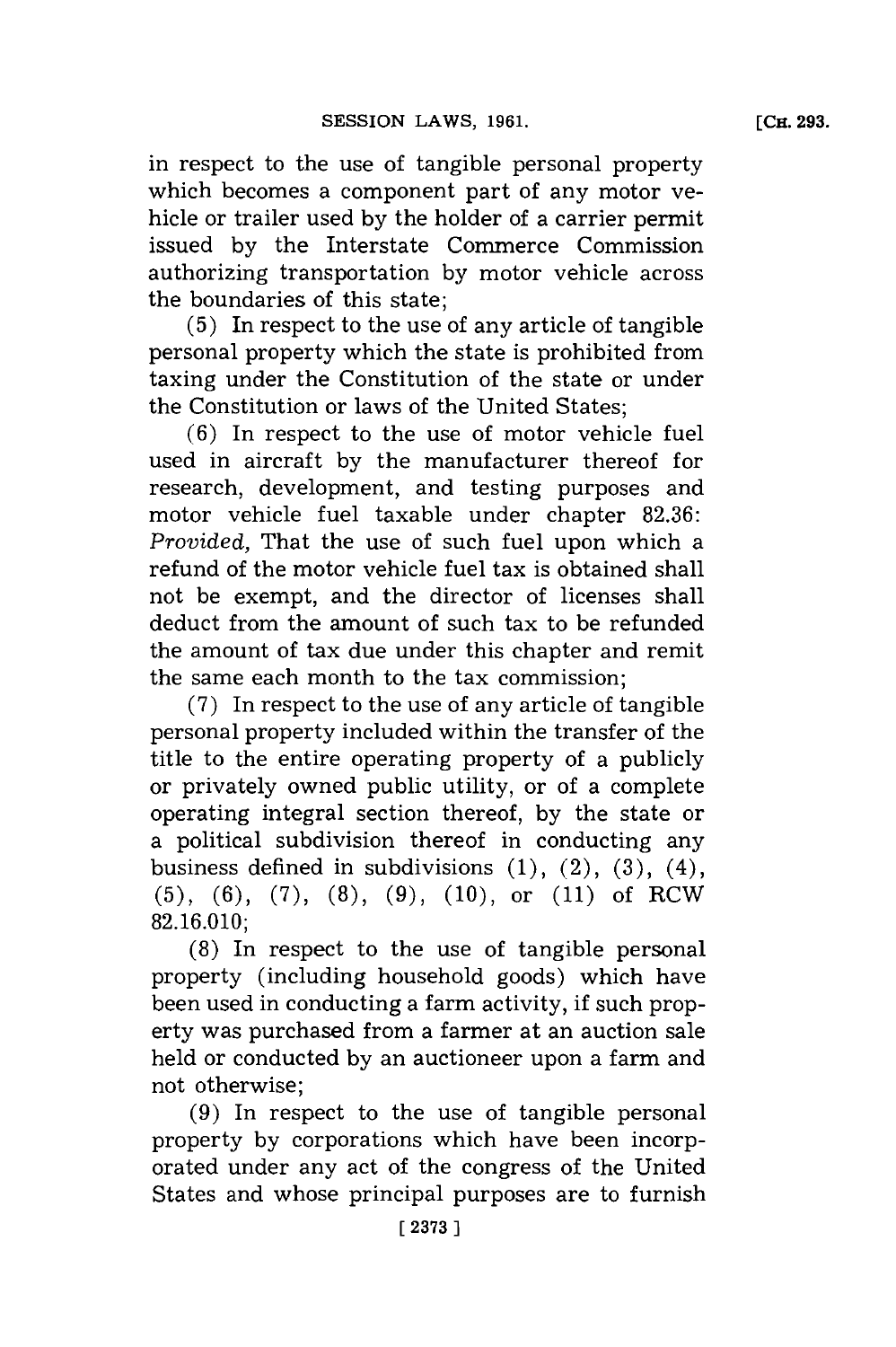in respect to the use of tangible personal property which becomes a component part of any motor vehicle or trailer used **by** the holder of a carrier permit issued **by** the Interstate Commerce Commission authorizing transportation **by** motor vehicle across the boundaries of this state;

**(5)** In respect to the use of any article of tangible personal property which the state is prohibited from taxing under the Constitution of the state or under the Constitution or laws of the United States;

**(6)** In respect to the use of motor vehicle fuel used in aircraft **by** the manufacturer thereof for research, development, and testing purposes and motor vehicle fuel taxable under chapter **82.36:** *Provided,* That the use of such fuel upon which a refund of the motor vehicle fuel tax is obtained shall not be exempt, and the director of licenses shall deduct from the amount of such tax to be refunded the amount of tax due under this chapter and remit the same each month to the tax commission;

**(7)** In respect to the use of any article of tangible personal property included within the transfer of the title to the entire operating property of a publicly or privately owned public utility, or of a complete operating integral section thereof, **by** the state or a political subdivision thereof in conducting any business defined in subdivisions  $(1)$ ,  $(2)$ ,  $(3)$ ,  $(4)$ , **(5), (6), (7), (8), (9), (10),** or **(11)** of RCW **82.16.010;**

**(8)** In respect to the use of tangible personal property (including household goods) which have been used in conducting a farm activity, if such property was purchased from a farmer at an auction sale held or conducted **by** an auctioneer upon a farm and not otherwise;

**(9)** In respect to the use of tangible personal property **by** corporations which have been incorporated under any act of the congress of the United States and whose principal purposes are to furnish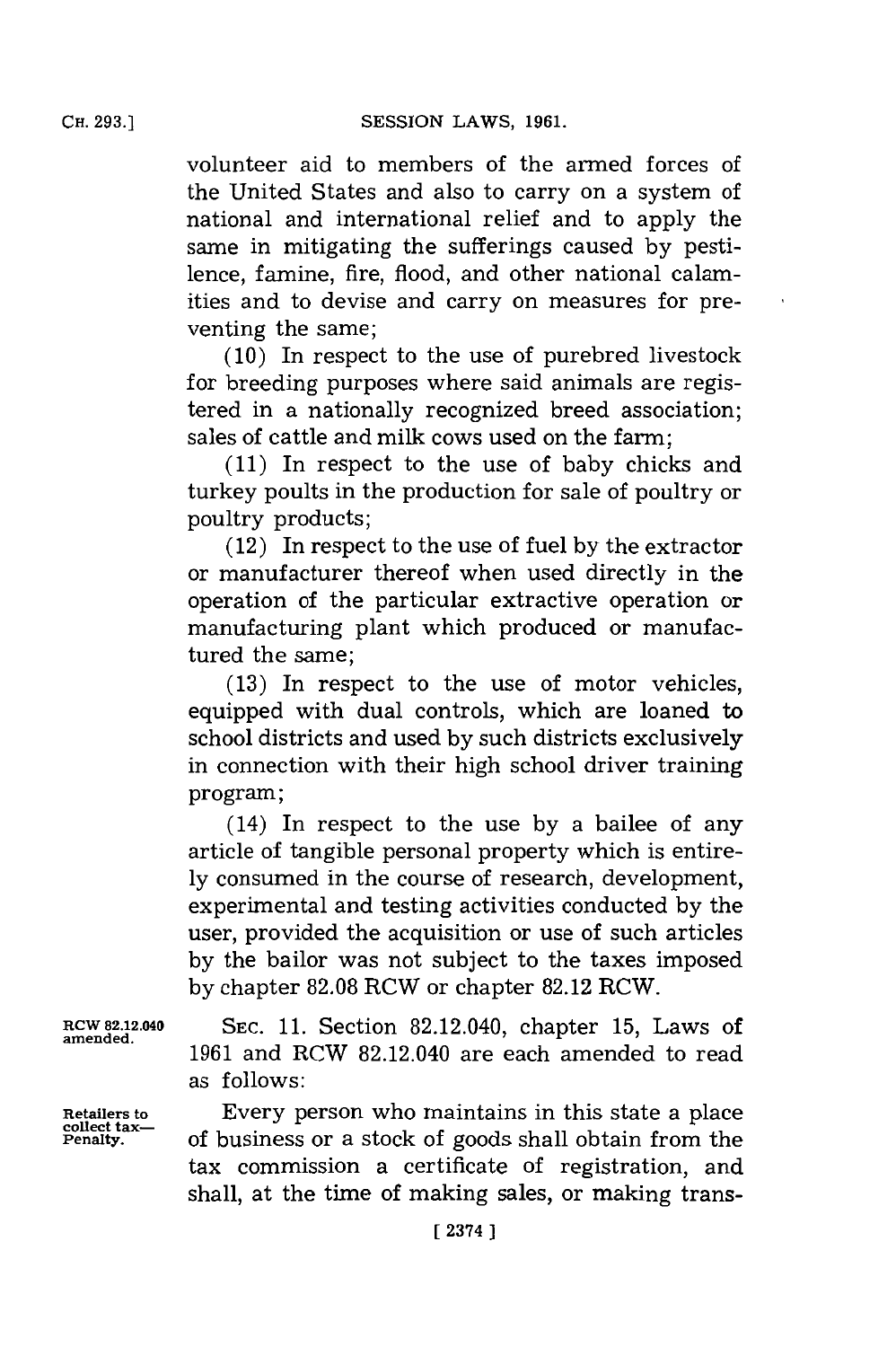**CH. 293.]**

volunteer aid to members of the armed forces of the United States and also to carry on a system of national and international relief and to apply the same in mitigating the sufferings caused **by** pestilence, famine, fire, flood, and other national calamities and to devise and carry on measures for preventing the same;

**(10)** In respect to the use of purebred livestock for breeding purposes where said animals are registered in a nationally recognized breed association; sales of cattle and milk cows used on the farm;

**(11)** In respect to the use of baby chicks and turkey poults in the production for sale of poultry or poultry products;

(12) In respect to the use of fuel **by** the extractor or manufacturer thereof when used directly in the operation of the particular extractive operation or manufacturing plant which produced or manufactured the same;

**(13)** In respect to the use of motor vehicles, equipped with dual controls, which are loaned to school districts and used **by** such districts exclusively in connection with their high school driver training program;

(14) In respect to the use **by** a bailee of any article of tangible personal property which is entire**ly** consumed in the course of research, development, experimental and testing activities conducted **by** the user, provided the acquisition or use of such articles **by** the bailor was not subject to the taxes imposed **by** chapter **82.08** RCW or chapter **82.12** RCW.

RCW 82.12.040 **SEC. 11.** Section 82.12.040, chapter **15,** Laws of **1961** and RCW 82.12.040 are each amended to read as follows:

**Retailers to** Every person who maintains in this state a place **collect tax- Penalty,** of business or a stock of goods shall obtain from the tax commission a certificate of registration, and shall, at the time of making sales, or making trans-

**amended.**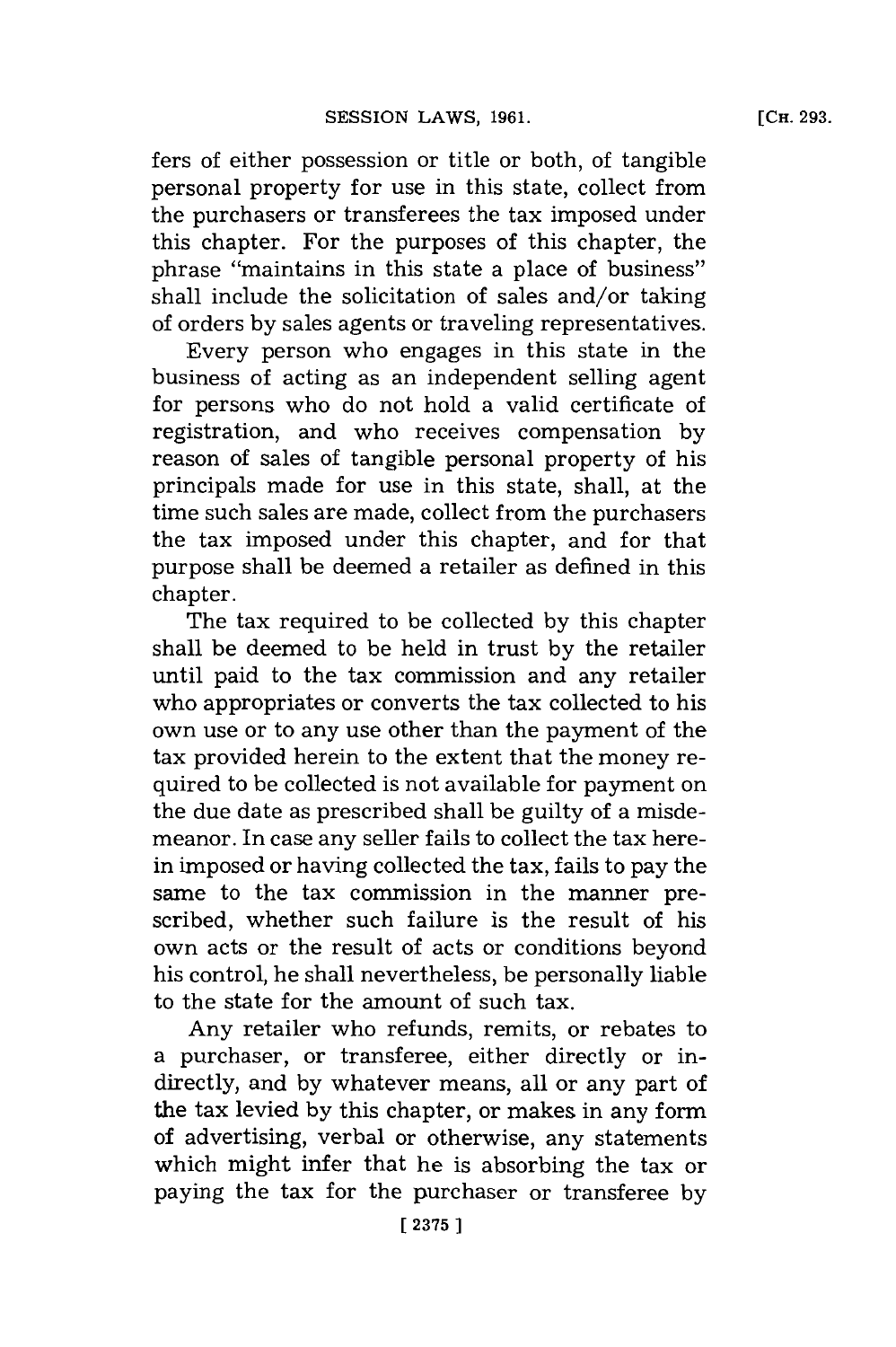fers of either possession or title or both, of tangible personal property for use in this state, collect from the purchasers or transferees the tax imposed under this chapter. For the purposes of this chapter, the phrase "maintains in this state a place of business" shall include the solicitation of sales and/or taking of orders **by** sales agents or traveling representatives.

Every person who engages in this state in the business of acting as an independent selling agent for persons who do not hold a valid certificate of registration, and who receives compensation **by** reason of sales of tangible personal property of his principals made for use in this state, shall, at the time such sales are made, collect from the purchasers the tax imposed under this chapter, and for that purpose shall be deemed a retailer as defined in this chapter.

The tax required to be collected **by** this chapter shall be deemed to be held in trust **by** the retailer until paid to the tax commission and any retailer who appropriates or converts the tax collected to his own use or to any use other than the payment of the tax provided herein to the extent that the money required to be collected is not available for payment on the due date as prescribed shall be guilty of a misdemeanor. In case any seller fails to collect the tax herein imposed or having collected the tax, fails to pay the same to the tax commission in the manner prescribed, whether such failure is the result of his own acts or the result of acts or conditions beyond his control, he shall nevertheless, be personally liable to the state for the amount of such tax.

Any retailer who refunds, remits, or rebates to a purchaser, or transferee, either directly or indirectly, and **by** whatever means, all or any part of the tax levied **by** this chapter, or makes in any form of advertising, verbal or otherwise, any statements which might infer that he is absorbing the tax or paying the tax for the purchaser or transferee **by**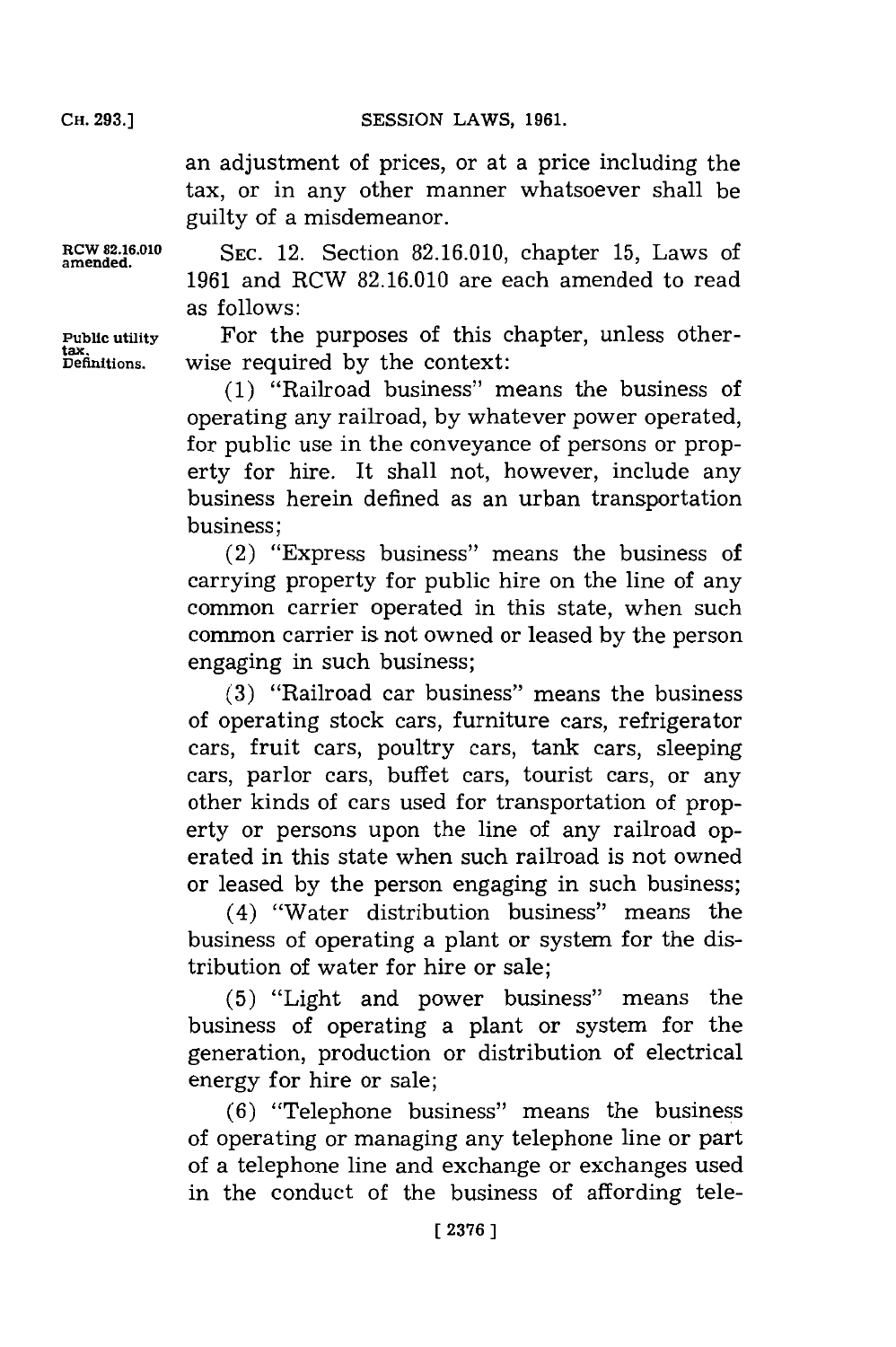**SESSION LAWS, 1961.** 

an adjustment of prices, or at a price including the tax, or in any other manner whatsoever shall be guilty of a misdemeanor.

RCW **82.16.010 SEC.** 12. Section **82.16.010,** chapter **15,** Laws of **amended. 1961** and RCW **82.16.010** are each amended to read as follows:

**Public utility** For the purposes of this chapter, unless other-**Definitions,** wise required **by** the context:

> **(1)** "Railroad business" means the business of operating any railroad, **by** whatever power operated, for public use in the conveyance of persons or property for hire. It shall not, however, include any business herein defined as an urban transportation business;

> (2) "Express business" means the business of carrying property for public hire on the line of any common carrier operated in this state, when such common carrier is not owned or leased **by** the person engaging in such business;

> **(3)** "Railroad car business" means the business of operating stock cars, furniture cars, refrigerator cars, fruit cars, poultry cars, tank cars, sleeping cars, parlor cars, buffet cars, tourist cars, or any other kinds of cars used for transportation of property or persons upon the line of any railroad operated in this state when such railroad is not owned or leased **by** the person engaging in such business;

> (4) "Water distribution business" means the business of operating a plant or system for the distribution of water for hire or sale;

> **(5)** "Light and power business" means the business of operating a plant or system for the generation, production or distribution of electrical energy for hire or sale;

> **(6)** "Telephone business" means the business of operating or managing any telephone line or part of a telephone line and exchange or exchanges used in the conduct of the business of affording tele-

**tax.**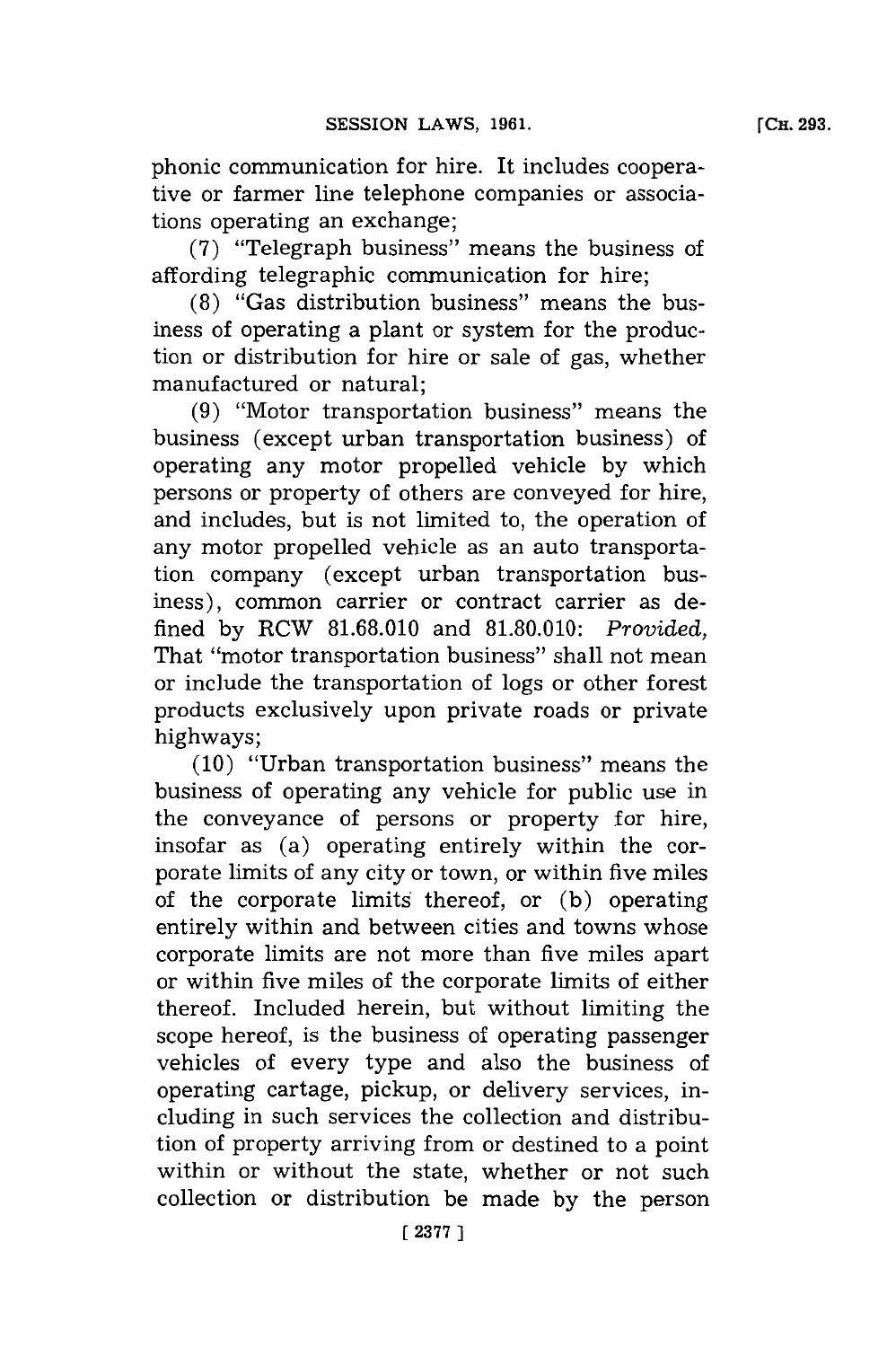phonic communication for hire. It includes cooperative or farmer line telephone companies or associations operating an exchange;

**(7)** "Telegraph business" means the business of affording telegraphic communication for hire;

**(8)** "Gas distribution business" means the business of operating a plant or system for the production or distribution for hire or sale of gas, whether manufactured or natural;

**(9)** "Motor transportation business" means the business (except urban transportation business) of operating any motor propelled vehicle **by** which persons or property of others are conveyed for hire, and includes, but is not limited to, the operation of any motor propelled vehicle as an auto transportation company (except urban transportation business), common carrier or contract carrier as defined **by** RCW **81.68.010** and **81.80.010:** *Provided,* That "motor transportation business" shall not mean or include the transportation of logs or other forest products exclusively upon private roads or private highways;

**(10)** "Urban transportation business" means the business of operating any vehicle for public use in the conveyance of persons or property for hire, insofar as (a) operating entirely within the corporate limits of any city or town, or within five miles of the corporate limits thereof, or **(b)** operating entirely within and between cities and towns whose corporate limits are not more than five miles apart or within five miles of the corporate limits of either thereof. Included herein, but without limiting the scope hereof, is the business of operating passenger vehicles of every type and also the business of operating cartage, pickup, or delivery services, including in such services the collection and distribution of property arriving from or destined to a point within or without the state, whether or not such collection or distribution be made **by** the person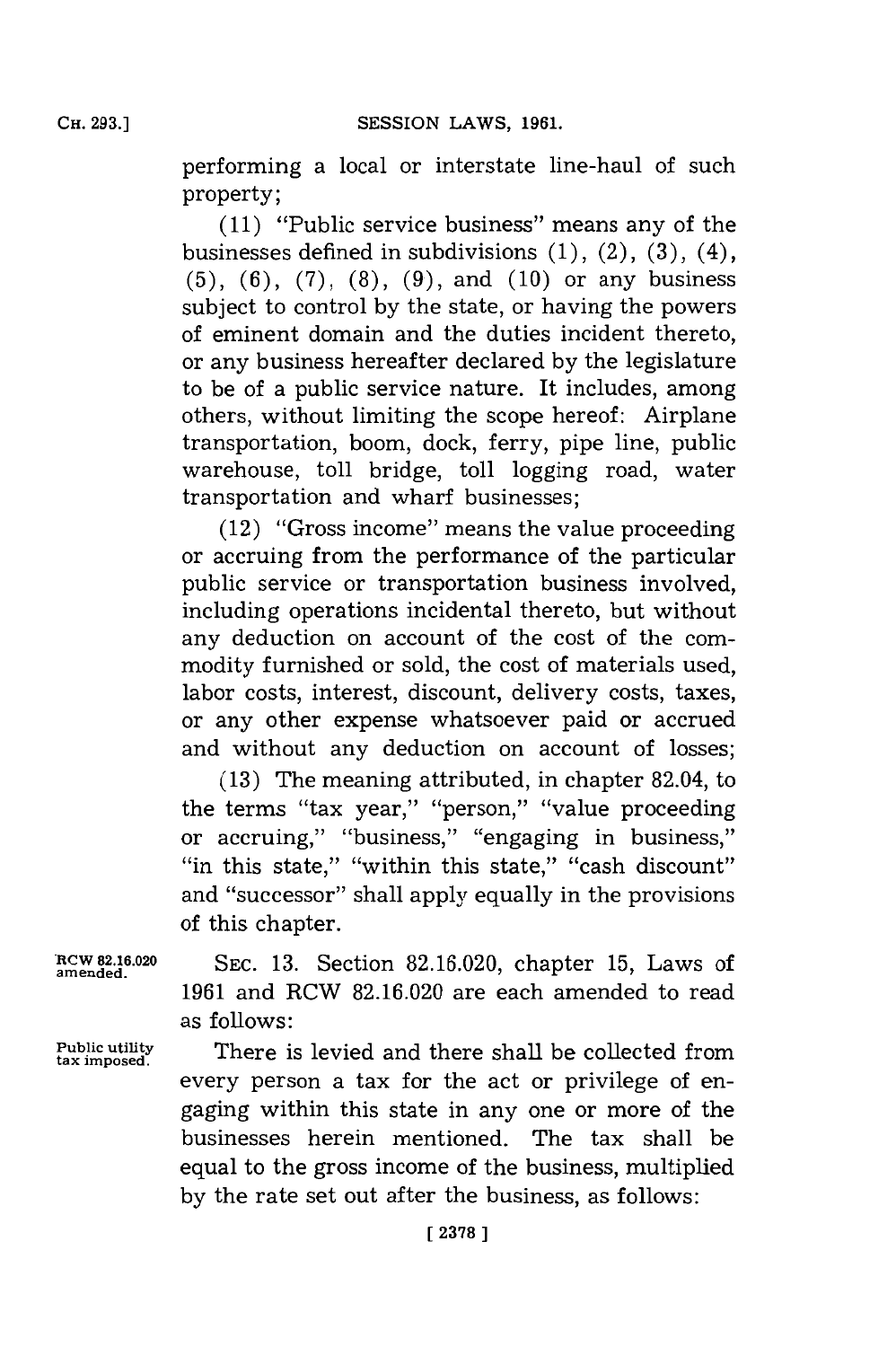performing a local or interstate line-haul of such property;

**(11)** "Public service business" means any of the businesses defined in subdivisions **(1),** (2), **(3),** (4), **(5), (6), (7), (8), (9),** and **(10)** or any business subject to control **by** the state, or having the powers of eminent domain and the duties incident thereto, or any business hereafter declared **by** the legislature to be of a public service nature. It includes, among others, without limiting the scope hereof: Airplane transportation, boom, dock, ferry, pipe line, public warehouse, toll bridge, toll logging road, water transportation and wharf businesses;

(12) "Gross income" means the value proceeding or accruing from the performance of the particular public service or transportation business involved, including operations incidental thereto, but without any deduction on account of the cost of the commodity furnished or sold, the cost of materials used, labor costs, interest, discount, delivery costs, taxes, or any other expense whatsoever paid or accrued and without any deduction on account of losses;

**(13)** The meaning attributed, in chapter 82.04, to the terms "tax year," "person," "value proceeding or accruing," "business," "engaging in business," ''in this state," ''within this state,'' ''cash discount'' and "successor" shall apply equally in the provisions of this chapter.

**amended.**

**tax imposed.**

**RCW 2.16.020 SEC. 13.** Section **82.16.020,** chapter **15,** Laws of **1961** and RCW **82.16.020** are each amended to read as follows:

**Public utility** There is levied and there shall be collected from every person a tax for the act or privilege of engaging within this state in any one or more of the businesses herein mentioned. The tax shall be equal to the gross income of the business, multiplied **by** the rate set out after the business, as follows: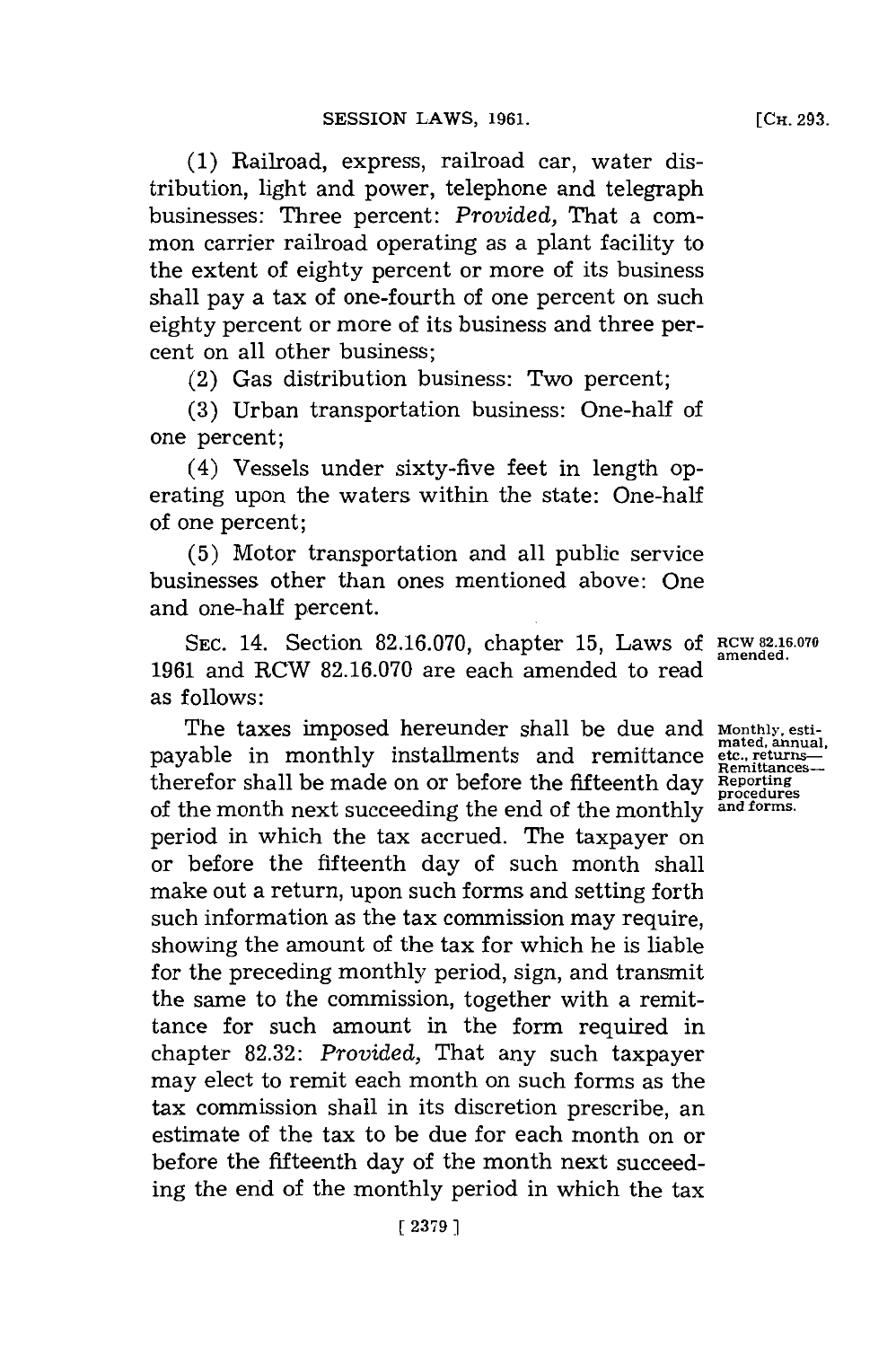**(1)** Railroad, express, railroad car, water distribution, light and power, telephone and telegraph businesses: Three percent: *Provided,* That a common carrier railroad operating as a plant facility to the extent of eighty percent or more of its business shall pay a tax of one-fourth of one percent on such eighty percent or more of its business and three percent on all other business;

(2) Gas distribution business: Two percent;

**(3)** Urban transportation business: One-half of one percent;

(4) Vessels under sixty-five feet in length operating upon the waters within the state: One-half of one percent;

**(5)** Motor transportation and all public service businesses other than ones mentioned above: One and one-half percent.

SEC. 14. Section 82.16.070, chapter 15, Laws of RCW 82.16.070 **1961** and RCW **82.16.070** are each amended to read as **f** ollows:

The taxes imposed hereunder shall be due and **Monthly, esti**payable in monthly installments and remittance **etc., returns**therefor shall be made on or before the fifteenth day **Reporting procedures** of the month next succeeding the end of the monthly **and forms.** period in which the tax accrued. The taxpayer on or before the fifteenth day of such month shall make out a return, upon such forms and setting forth such information as the tax commission may require, showing the amount of the tax for which he is liable for the preceding monthly period, sign, and transmit the same to the commission, together with a remittance for such amount in the form required in chapter **82.32:** *Provided,* That any such taxpayer may elect to remit each month on such forms as the tax commission shall in its discretion prescribe, an estimate of the tax to be due for each month on or before the fifteenth day of the month next succeeding the end of the monthly period in which the tax

**mated, annual,**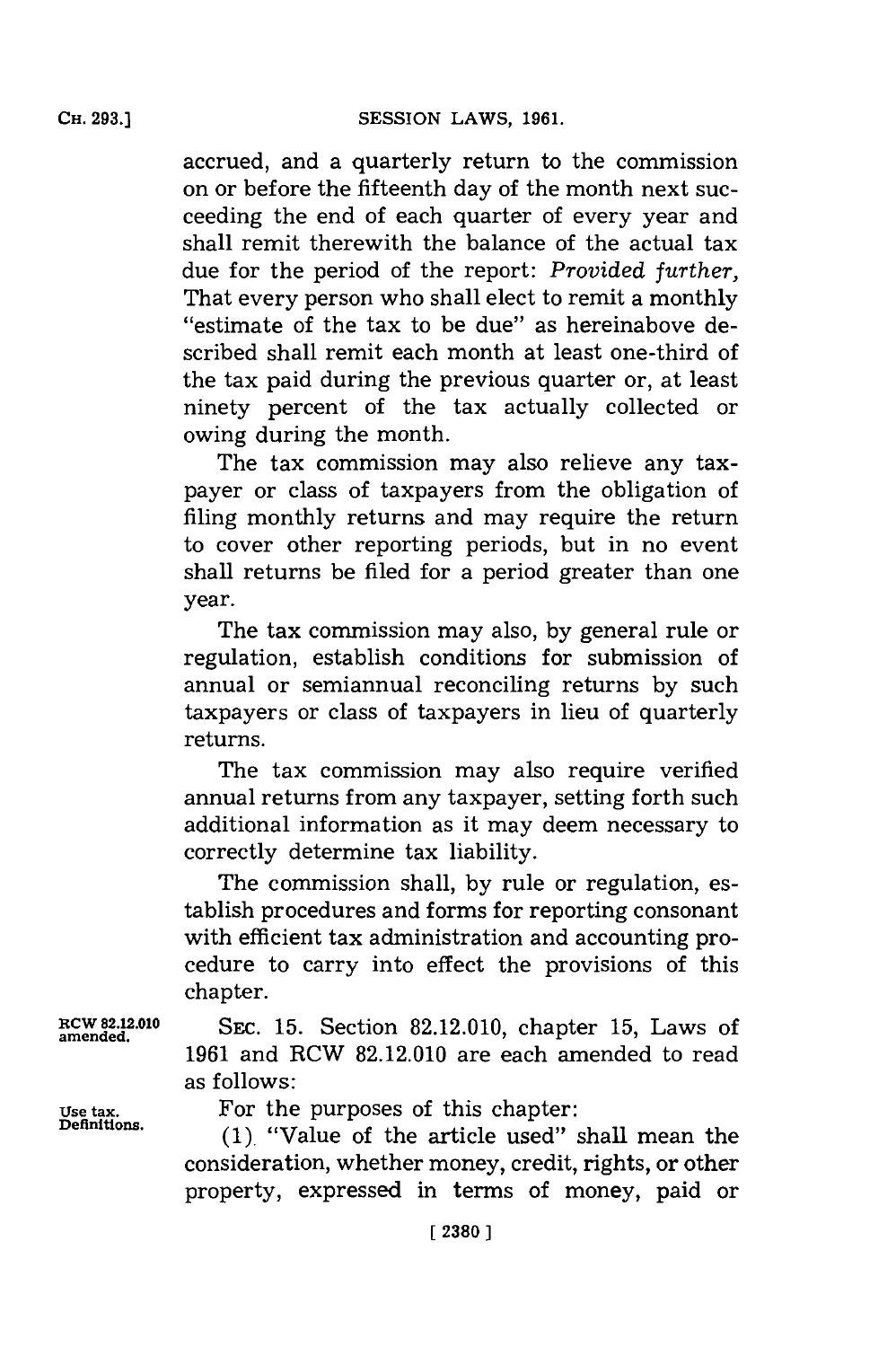accrued, and a quarterly return to the commission on or before the fifteenth day of the month next succeeding the end of each quarter of every year and shall remit therewith the balance of the actual tax due for the period of the report: *Provided further,* That every person who shall elect to remit a monthly "estimate of the tax to be due" as hereinabove described shall remit each month at least one-third of the tax paid during the previous quarter or, at least ninety percent of the tax actually collected or owing during the month.

The tax commission may also relieve any taxpayer or class of taxpayers from the obligation of filing monthly returns and may require the return to cover other reporting periods, but in no event shall returns be filed for a period greater than one year.

The tax commission may also, **by** general rule or regulation, establish conditions for submission of annual or semiannual reconciling returns **by** such taxpayers or class of taxpayers in lieu of quarterly returns.

The tax commission may also require verified annual returns from any taxpayer, setting forth such additional information as it may deem necessary to correctly determine tax liability.

The commission shall, **by** rule or regulation, establish procedures and forms for reporting consonant with efficient tax administration and accounting procedure to carry into effect the provisions of this chapter.

**RCW 82.12.010** SEc. **15.** Section **82.12.010,** chapter **15,** Laws of **amended. 1961** and RCW **82.12.010** are each amended to read as follows:

Use tax. **For the purposes of this chapter:**<br>**Definitions.**  $(3)$ 

**Deflnitions. (1).** "Value of the article used" shall mean the consideration, whether money, credit, rights, or other property, expressed in terms of money, paid or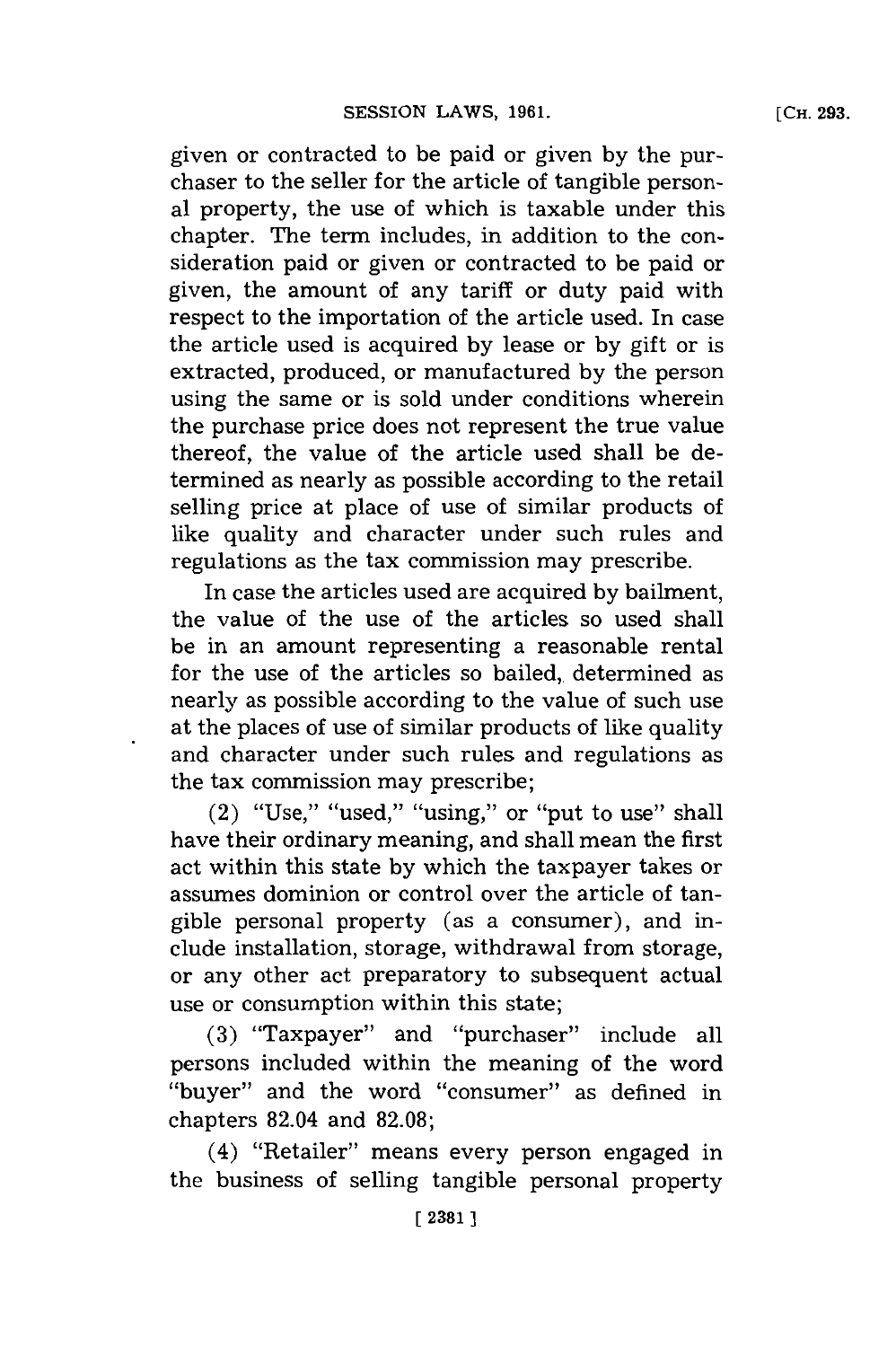given or contracted to be paid or given **by** the purchaser to the seller **for** the article of tangible personal property, the use of which is taxable under this chapter. The term includes, in addition to the consideration paid or given or contracted to be paid or given, the amount of any tariff or duty paid with respect to the importation of the article used. In case the article used is acquired **by** lease or **by** gift or is extracted, produced, or manufactured **by** the person using the same or is sold under conditions wherein the purchase price does not represent the true value thereof, the value of the article used shall be determined as nearly as possible according to the retail selling price at place of use of similar products of like quality and character under such rules and regulations as the tax commission may prescribe.

In case the articles used are acquired **by** bailment, the value of the use of the articles so used shall be in an amount representing a reasonable rental for the use of the articles so bailed, determined as nearly as possible according to the value of such use at the places of use of similar products of like quality and character under such rules and regulations as the tax commission may prescribe;

 $(2)$  "Use," "used," "using," or "put to use" shall have their ordinary meaning, and shall mean the first act within this state **by** which the taxpayer takes or assumes dominion or control over the article of tangible personal property (as a consumer), and include installation, storage, withdrawal from storage, or any other act preparatory to subsequent actual use or consumption within this state;

**(3)** 'Taxpayer" and "purchaser" include all persons included within the meaning of the word "buyer" and the word "consumer" as defined in chapters 82.04 and **82.08;**

(4) "Retailer" means every person engaged in the business of selling tangible personal property